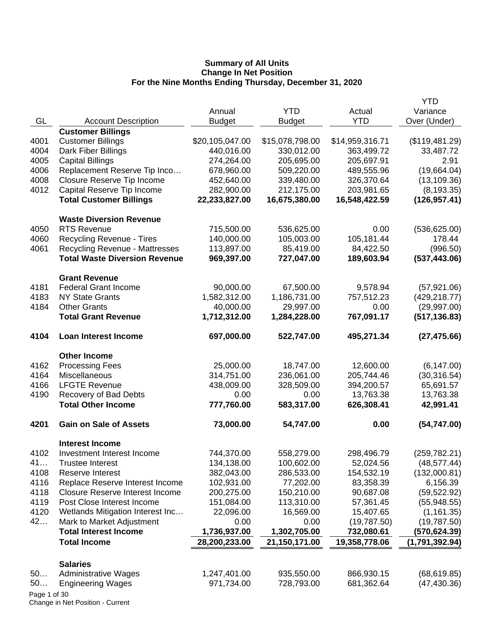|              |                                        |                 |                 |                 | YTD            |
|--------------|----------------------------------------|-----------------|-----------------|-----------------|----------------|
|              |                                        | Annual          | <b>YTD</b>      | Actual          | Variance       |
| GL           | <b>Account Description</b>             | <b>Budget</b>   | <b>Budget</b>   | <b>YTD</b>      | Over (Under)   |
|              | <b>Customer Billings</b>               |                 |                 |                 |                |
| 4001         | <b>Customer Billings</b>               | \$20,105,047.00 | \$15,078,798.00 | \$14,959,316.71 | (\$119,481.29) |
| 4004         | Dark Fiber Billings                    | 440,016.00      | 330,012.00      | 363,499.72      | 33,487.72      |
| 4005         | <b>Capital Billings</b>                | 274,264.00      | 205,695.00      | 205,697.91      | 2.91           |
| 4006         | Replacement Reserve Tip Inco           | 678,960.00      | 509,220.00      | 489,555.96      | (19,664.04)    |
| 4008         | Closure Reserve Tip Income             | 452,640.00      | 339,480.00      | 326,370.64      | (13, 109.36)   |
| 4012         | Capital Reserve Tip Income             | 282,900.00      | 212,175.00      | 203,981.65      | (8, 193.35)    |
|              | <b>Total Customer Billings</b>         | 22,233,827.00   | 16,675,380.00   | 16,548,422.59   | (126, 957.41)  |
|              | <b>Waste Diversion Revenue</b>         |                 |                 |                 |                |
| 4050         | <b>RTS Revenue</b>                     | 715,500.00      | 536,625.00      | 0.00            | (536, 625.00)  |
| 4060         | <b>Recycling Revenue - Tires</b>       | 140,000.00      | 105,003.00      | 105,181.44      | 178.44         |
| 4061         | <b>Recycling Revenue - Mattresses</b>  | 113,897.00      | 85,419.00       | 84,422.50       | (996.50)       |
|              | <b>Total Waste Diversion Revenue</b>   | 969,397.00      | 727,047.00      | 189,603.94      | (537, 443.06)  |
|              | <b>Grant Revenue</b>                   |                 |                 |                 |                |
| 4181         | <b>Federal Grant Income</b>            | 90,000.00       | 67,500.00       | 9,578.94        | (57, 921.06)   |
| 4183         | <b>NY State Grants</b>                 | 1,582,312.00    | 1,186,731.00    | 757,512.23      | (429, 218.77)  |
| 4184         | <b>Other Grants</b>                    | 40,000.00       | 29,997.00       | 0.00            | (29,997.00)    |
|              | <b>Total Grant Revenue</b>             | 1,712,312.00    | 1,284,228.00    | 767,091.17      | (517, 136.83)  |
| 4104         | <b>Loan Interest Income</b>            | 697,000.00      | 522,747.00      | 495,271.34      | (27, 475.66)   |
|              | <b>Other Income</b>                    |                 |                 |                 |                |
| 4162         | <b>Processing Fees</b>                 | 25,000.00       | 18,747.00       | 12,600.00       | (6, 147.00)    |
| 4164         | Miscellaneous                          | 314,751.00      | 236,061.00      | 205,744.46      | (30, 316.54)   |
| 4166         | <b>LFGTE Revenue</b>                   | 438,009.00      | 328,509.00      | 394,200.57      | 65,691.57      |
| 4190         | Recovery of Bad Debts                  | 0.00            | 0.00            | 13,763.38       | 13,763.38      |
|              | <b>Total Other Income</b>              | 777,760.00      | 583,317.00      | 626,308.41      | 42,991.41      |
| 4201         | <b>Gain on Sale of Assets</b>          | 73,000.00       | 54,747.00       | 0.00            | (54, 747.00)   |
|              | <b>Interest Income</b>                 |                 |                 |                 |                |
| 4102         | Investment Interest Income             | 744,370.00      | 558,279.00      | 298,496.79      | (259, 782.21)  |
| 41           | <b>Trustee Interest</b>                | 134,138.00      | 100,602.00      | 52,024.56       | (48, 577.44)   |
| 4108         | <b>Reserve Interest</b>                | 382,043.00      | 286,533.00      | 154,532.19      | (132,000.81)   |
| 4116         | Replace Reserve Interest Income        | 102,931.00      | 77,202.00       | 83,358.39       | 6,156.39       |
| 4118         | <b>Closure Reserve Interest Income</b> | 200,275.00      | 150,210.00      | 90,687.08       | (59, 522.92)   |
| 4119         | Post Close Interest Income             | 151,084.00      | 113,310.00      | 57,361.45       | (55,948.55)    |
| 4120         | Wetlands Mitigation Interest Inc       | 22,096.00       | 16,569.00       | 15,407.65       | (1, 161.35)    |
| 42           | Mark to Market Adjustment              | 0.00            | 0.00            | (19,787.50)     | (19,787.50)    |
|              | <b>Total Interest Income</b>           | 1,736,937.00    | 1,302,705.00    | 732,080.61      | (570, 624.39)  |
|              | <b>Total Income</b>                    | 28,200,233.00   | 21,150,171.00   | 19,358,778.06   | (1,791,392.94) |
|              | <b>Salaries</b>                        |                 |                 |                 |                |
| 50           | <b>Administrative Wages</b>            | 1,247,401.00    | 935,550.00      | 866,930.15      | (68, 619.85)   |
| 50           | <b>Engineering Wages</b>               | 971,734.00      | 728,793.00      | 681,362.64      | (47, 430.36)   |
| Page 1 of 30 |                                        |                 |                 |                 |                |
|              |                                        |                 |                 |                 |                |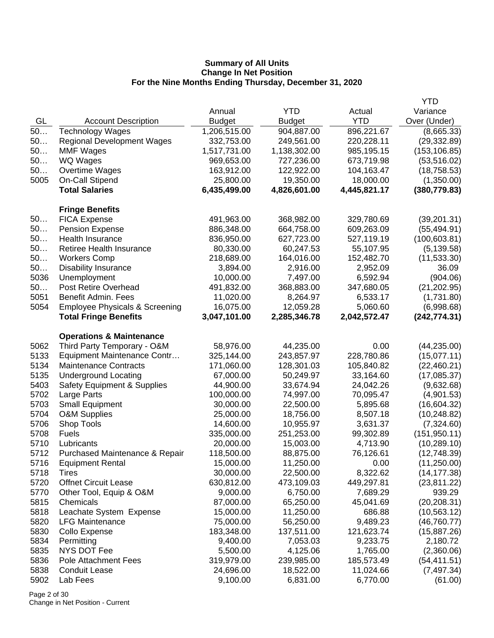|      |                                           |               |               |              | <b>YTD</b>    |
|------|-------------------------------------------|---------------|---------------|--------------|---------------|
|      |                                           | Annual        | <b>YTD</b>    | Actual       | Variance      |
| GL   | <b>Account Description</b>                | <b>Budget</b> | <b>Budget</b> | <b>YTD</b>   | Over (Under)  |
| 50   | <b>Technology Wages</b>                   | 1,206,515.00  | 904,887.00    | 896,221.67   | (8,665.33)    |
| 50   | <b>Regional Development Wages</b>         | 332,753.00    | 249,561.00    | 220,228.11   | (29, 332.89)  |
| 50   | <b>MMF Wages</b>                          | 1,517,731.00  | 1,138,302.00  | 985,195.15   | (153, 106.85) |
| 50   | WQ Wages                                  | 969,653.00    | 727,236.00    | 673,719.98   | (53, 516.02)  |
| 50   | Overtime Wages                            | 163,912.00    | 122,922.00    | 104,163.47   | (18, 758.53)  |
| 5005 | On-Call Stipend                           | 25,800.00     | 19,350.00     | 18,000.00    | (1,350.00)    |
|      | <b>Total Salaries</b>                     | 6,435,499.00  | 4,826,601.00  | 4,445,821.17 | (380, 779.83) |
|      | <b>Fringe Benefits</b>                    |               |               |              |               |
| 50   | <b>FICA Expense</b>                       | 491,963.00    | 368,982.00    | 329,780.69   | (39, 201.31)  |
| 50   | <b>Pension Expense</b>                    | 886,348.00    | 664,758.00    | 609,263.09   | (55, 494.91)  |
| 50   | Health Insurance                          | 836,950.00    | 627,723.00    | 527,119.19   | (100, 603.81) |
| 50   | Retiree Health Insurance                  | 80,330.00     | 60,247.53     | 55,107.95    | (5, 139.58)   |
| 50   | <b>Workers Comp</b>                       | 218,689.00    | 164,016.00    | 152,482.70   | (11, 533.30)  |
| 50   | <b>Disability Insurance</b>               | 3,894.00      | 2,916.00      | 2,952.09     | 36.09         |
| 5036 | Unemployment                              | 10,000.00     | 7,497.00      | 6,592.94     | (904.06)      |
| 50   | Post Retire Overhead                      | 491,832.00    | 368,883.00    | 347,680.05   | (21, 202.95)  |
| 5051 | <b>Benefit Admin. Fees</b>                | 11,020.00     | 8,264.97      | 6,533.17     | (1,731.80)    |
| 5054 | <b>Employee Physicals &amp; Screening</b> | 16,075.00     | 12,059.28     | 5,060.60     | (6,998.68)    |
|      | <b>Total Fringe Benefits</b>              | 3,047,101.00  | 2,285,346.78  | 2,042,572.47 | (242, 774.31) |
|      | <b>Operations &amp; Maintenance</b>       |               |               |              |               |
| 5062 | Third Party Temporary - O&M               | 58,976.00     | 44,235.00     | 0.00         | (44, 235.00)  |
| 5133 | Equipment Maintenance Contr               | 325,144.00    | 243,857.97    | 228,780.86   | (15,077.11)   |
| 5134 | <b>Maintenance Contracts</b>              | 171,060.00    | 128,301.03    | 105,840.82   | (22, 460.21)  |
| 5135 | <b>Underground Locating</b>               | 67,000.00     | 50,249.97     | 33,164.60    | (17,085.37)   |
| 5403 | <b>Safety Equipment &amp; Supplies</b>    | 44,900.00     | 33,674.94     | 24,042.26    | (9,632.68)    |
| 5702 | Large Parts                               | 100,000.00    | 74,997.00     | 70,095.47    | (4,901.53)    |
| 5703 | <b>Small Equipment</b>                    | 30,000.00     | 22,500.00     | 5,895.68     | (16,604.32)   |
| 5704 | <b>O&amp;M Supplies</b>                   | 25,000.00     | 18,756.00     | 8,507.18     | (10, 248.82)  |
| 5706 | Shop Tools                                | 14,600.00     | 10,955.97     | 3,631.37     | (7,324.60)    |
| 5708 | <b>Fuels</b>                              | 335,000.00    | 251,253.00    | 99,302.89    | (151, 950.11) |
| 5710 | Lubricants                                | 20,000.00     | 15,003.00     | 4,713.90     | (10, 289.10)  |
| 5712 | Purchased Maintenance & Repair            | 118,500.00    | 88,875.00     | 76,126.61    | (12,748.39)   |
| 5716 | <b>Equipment Rental</b>                   | 15,000.00     | 11,250.00     | 0.00         | (11, 250.00)  |
| 5718 | <b>Tires</b>                              | 30,000.00     | 22,500.00     | 8,322.62     | (14, 177.38)  |
| 5720 | <b>Offnet Circuit Lease</b>               | 630,812.00    | 473,109.03    | 449,297.81   | (23, 811.22)  |
| 5770 | Other Tool, Equip & O&M                   | 9,000.00      | 6,750.00      | 7,689.29     | 939.29        |
| 5815 | Chemicals                                 | 87,000.00     | 65,250.00     | 45,041.69    | (20, 208.31)  |
| 5818 | Leachate System Expense                   | 15,000.00     | 11,250.00     | 686.88       | (10, 563.12)  |
| 5820 | <b>LFG Maintenance</b>                    | 75,000.00     | 56,250.00     | 9,489.23     | (46, 760.77)  |
| 5830 | Collo Expense                             | 183,348.00    | 137,511.00    | 121,623.74   | (15,887.26)   |
| 5834 | Permitting                                | 9,400.00      | 7,053.03      | 9,233.75     | 2,180.72      |
| 5835 | NYS DOT Fee                               | 5,500.00      | 4,125.06      | 1,765.00     | (2,360.06)    |
| 5836 | <b>Pole Attachment Fees</b>               | 319,979.00    | 239,985.00    | 185,573.49   | (54, 411.51)  |
| 5838 | <b>Conduit Lease</b>                      | 24,696.00     | 18,522.00     | 11,024.66    | (7, 497.34)   |
| 5902 | Lab Fees                                  | 9,100.00      | 6,831.00      | 6,770.00     | (61.00)       |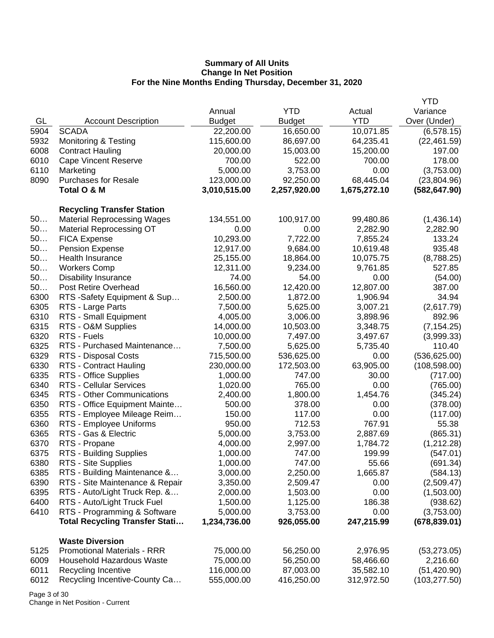|      |                                       |               |               |              | <b>YTD</b>    |
|------|---------------------------------------|---------------|---------------|--------------|---------------|
|      |                                       | Annual        | <b>YTD</b>    | Actual       | Variance      |
| GL   | <b>Account Description</b>            | <b>Budget</b> | <b>Budget</b> | <b>YTD</b>   | Over (Under)  |
| 5904 | <b>SCADA</b>                          | 22,200.00     | 16,650.00     | 10,071.85    | (6,578.15)    |
| 5932 | <b>Monitoring &amp; Testing</b>       | 115,600.00    | 86,697.00     | 64,235.41    | (22, 461.59)  |
| 6008 | <b>Contract Hauling</b>               | 20,000.00     | 15,003.00     | 15,200.00    | 197.00        |
| 6010 | <b>Cape Vincent Reserve</b>           | 700.00        | 522.00        | 700.00       | 178.00        |
| 6110 | Marketing                             | 5,000.00      | 3,753.00      | 0.00         | (3,753.00)    |
| 8090 | <b>Purchases for Resale</b>           | 123,000.00    | 92,250.00     | 68,445.04    | (23,804.96)   |
|      | Total O & M                           | 3,010,515.00  | 2,257,920.00  | 1,675,272.10 | (582, 647.90) |
|      |                                       |               |               |              |               |
|      | <b>Recycling Transfer Station</b>     |               |               |              |               |
| 50   | <b>Material Reprocessing Wages</b>    | 134,551.00    | 100,917.00    | 99,480.86    | (1,436.14)    |
| 50   | <b>Material Reprocessing OT</b>       | 0.00          | 0.00          | 2,282.90     | 2,282.90      |
| 50   | <b>FICA Expense</b>                   | 10,293.00     | 7,722.00      | 7,855.24     | 133.24        |
| 50   | <b>Pension Expense</b>                | 12,917.00     | 9,684.00      | 10,619.48    | 935.48        |
| 50   | Health Insurance                      | 25,155.00     | 18,864.00     | 10,075.75    | (8,788.25)    |
| 50   | <b>Workers Comp</b>                   | 12,311.00     | 9,234.00      | 9,761.85     | 527.85        |
| 50   | <b>Disability Insurance</b>           | 74.00         | 54.00         | 0.00         | (54.00)       |
| 50   | Post Retire Overhead                  | 16,560.00     | 12,420.00     | 12,807.00    | 387.00        |
| 6300 | RTS - Safety Equipment & Sup          | 2,500.00      | 1,872.00      | 1,906.94     | 34.94         |
| 6305 | RTS - Large Parts                     | 7,500.00      | 5,625.00      | 3,007.21     | (2,617.79)    |
| 6310 | RTS - Small Equipment                 | 4,005.00      | 3,006.00      | 3,898.96     | 892.96        |
| 6315 | RTS - O&M Supplies                    | 14,000.00     | 10,503.00     | 3,348.75     | (7, 154.25)   |
| 6320 | RTS - Fuels                           | 10,000.00     | 7,497.00      | 3,497.67     | (3,999.33)    |
| 6325 | RTS - Purchased Maintenance           | 7,500.00      | 5,625.00      | 5,735.40     | 110.40        |
| 6329 | RTS - Disposal Costs                  | 715,500.00    | 536,625.00    | 0.00         | (536, 625.00) |
| 6330 | RTS - Contract Hauling                | 230,000.00    | 172,503.00    | 63,905.00    | (108, 598.00) |
| 6335 | RTS - Office Supplies                 | 1,000.00      | 747.00        | 30.00        | (717.00)      |
| 6340 | <b>RTS - Cellular Services</b>        | 1,020.00      | 765.00        | 0.00         | (765.00)      |
| 6345 | <b>RTS - Other Communications</b>     | 2,400.00      | 1,800.00      | 1,454.76     | (345.24)      |
| 6350 | RTS - Office Equipment Mainte         | 500.00        | 378.00        | 0.00         | (378.00)      |
| 6355 | RTS - Employee Mileage Reim           | 150.00        | 117.00        | 0.00         | (117.00)      |
| 6360 | RTS - Employee Uniforms               | 950.00        | 712.53        | 767.91       | 55.38         |
| 6365 | RTS - Gas & Electric                  | 5,000.00      | 3,753.00      | 2,887.69     | (865.31)      |
| 6370 | RTS - Propane                         | 4,000.00      | 2,997.00      | 1,784.72     | (1,212.28)    |
| 6375 | RTS - Building Supplies               | 1,000.00      | 747.00        | 199.99       | (547.01)      |
| 6380 | RTS - Site Supplies                   | 1,000.00      | 747.00        | 55.66        | (691.34)      |
| 6385 | RTS - Building Maintenance &          | 3,000.00      | 2,250.00      | 1,665.87     | (584.13)      |
| 6390 | RTS - Site Maintenance & Repair       | 3,350.00      | 2,509.47      | 0.00         | (2,509.47)    |
| 6395 | RTS - Auto/Light Truck Rep. &         | 2,000.00      | 1,503.00      | 0.00         | (1,503.00)    |
| 6400 | RTS - Auto/Light Truck Fuel           | 1,500.00      | 1,125.00      | 186.38       | (938.62)      |
| 6410 | RTS - Programming & Software          | 5,000.00      | 3,753.00      | 0.00         | (3,753.00)    |
|      | <b>Total Recycling Transfer Stati</b> | 1,234,736.00  | 926,055.00    | 247,215.99   | (678, 839.01) |
|      | <b>Waste Diversion</b>                |               |               |              |               |
| 5125 | <b>Promotional Materials - RRR</b>    | 75,000.00     | 56,250.00     | 2,976.95     | (53, 273.05)  |
| 6009 | Household Hazardous Waste             | 75,000.00     | 56,250.00     | 58,466.60    | 2,216.60      |
| 6011 | Recycling Incentive                   | 116,000.00    | 87,003.00     | 35,582.10    | (51, 420.90)  |
| 6012 | Recycling Incentive-County Ca         | 555,000.00    | 416,250.00    | 312,972.50   | (103, 277.50) |

Page 3 of 30 Change in Net Position - Current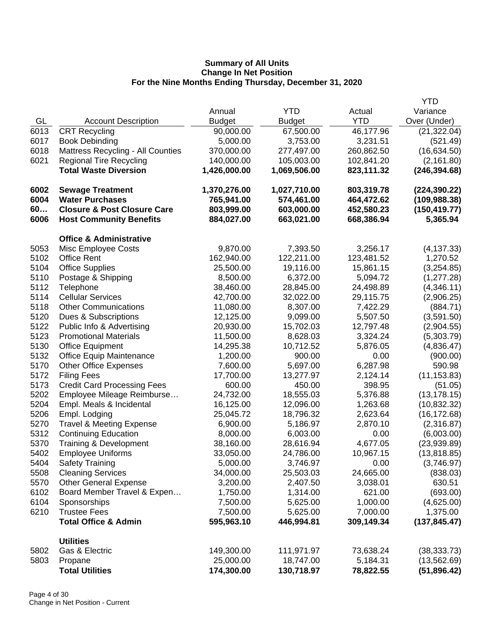|      |                                          |               |               |            | <b>YTD</b>    |
|------|------------------------------------------|---------------|---------------|------------|---------------|
|      |                                          | Annual        | <b>YTD</b>    | Actual     | Variance      |
| GL   | <b>Account Description</b>               | <b>Budget</b> | <b>Budget</b> | <b>YTD</b> | Over (Under)  |
| 6013 | <b>CRT Recycling</b>                     | 90,000.00     | 67,500.00     | 46,177.96  | (21, 322.04)  |
| 6017 | <b>Book Debinding</b>                    | 5,000.00      | 3,753.00      | 3,231.51   | (521.49)      |
| 6018 | <b>Mattress Recycling - All Counties</b> | 370,000.00    | 277,497.00    | 260,862.50 | (16, 634.50)  |
| 6021 | <b>Regional Tire Recycling</b>           | 140,000.00    | 105,003.00    | 102,841.20 | (2, 161.80)   |
|      | <b>Total Waste Diversion</b>             | 1,426,000.00  | 1,069,506.00  | 823,111.32 | (246, 394.68) |
| 6002 | <b>Sewage Treatment</b>                  | 1,370,276.00  | 1,027,710.00  | 803,319.78 | (224, 390.22) |
| 6004 | <b>Water Purchases</b>                   | 765,941.00    | 574,461.00    | 464,472.62 | (109, 988.38) |
| 60   | <b>Closure &amp; Post Closure Care</b>   | 803,999.00    | 603,000.00    | 452,580.23 | (150, 419.77) |
| 6006 | <b>Host Community Benefits</b>           | 884,027.00    | 663,021.00    | 668,386.94 | 5,365.94      |
|      | <b>Office &amp; Administrative</b>       |               |               |            |               |
| 5053 | Misc Employee Costs                      | 9,870.00      | 7,393.50      | 3,256.17   | (4, 137.33)   |
| 5102 | <b>Office Rent</b>                       | 162,940.00    | 122,211.00    | 123,481.52 | 1,270.52      |
| 5104 | <b>Office Supplies</b>                   | 25,500.00     | 19,116.00     | 15,861.15  | (3,254.85)    |
| 5110 | Postage & Shipping                       | 8,500.00      | 6,372.00      | 5,094.72   | (1, 277.28)   |
| 5112 | Telephone                                | 38,460.00     | 28,845.00     | 24,498.89  | (4,346.11)    |
| 5114 | <b>Cellular Services</b>                 | 42,700.00     | 32,022.00     | 29,115.75  | (2,906.25)    |
| 5118 | <b>Other Communications</b>              | 11,080.00     | 8,307.00      | 7,422.29   | (884.71)      |
| 5120 | Dues & Subscriptions                     | 12,125.00     | 9,099.00      | 5,507.50   | (3,591.50)    |
| 5122 | Public Info & Advertising                | 20,930.00     | 15,702.03     | 12,797.48  | (2,904.55)    |
| 5123 | <b>Promotional Materials</b>             | 11,500.00     | 8,628.03      | 3,324.24   | (5,303.79)    |
| 5130 | <b>Office Equipment</b>                  | 14,295.38     | 10,712.52     | 5,876.05   | (4,836.47)    |
| 5132 | Office Equip Maintenance                 | 1,200.00      | 900.00        | 0.00       | (900.00)      |
| 5170 | <b>Other Office Expenses</b>             | 7,600.00      | 5,697.00      | 6,287.98   | 590.98        |
| 5172 | <b>Filing Fees</b>                       | 17,700.00     | 13,277.97     | 2,124.14   | (11, 153.83)  |
| 5173 | <b>Credit Card Processing Fees</b>       | 600.00        | 450.00        | 398.95     | (51.05)       |
| 5202 | Employee Mileage Reimburse               | 24,732.00     | 18,555.03     | 5,376.88   | (13, 178.15)  |
| 5204 | Empl. Meals & Incidental                 | 16,125.00     | 12,096.00     | 1,263.68   | (10, 832.32)  |
| 5206 | Empl. Lodging                            | 25,045.72     | 18,796.32     | 2,623.64   | (16, 172.68)  |
| 5270 | <b>Travel &amp; Meeting Expense</b>      | 6,900.00      | 5,186.97      | 2,870.10   | (2,316.87)    |
| 5312 | <b>Continuing Education</b>              | 8,000.00      | 6,003.00      | 0.00       | (6,003.00)    |
| 5370 | <b>Training &amp; Development</b>        | 38,160.00     | 28,616.94     | 4,677.05   | (23,939.89)   |
| 5402 | <b>Employee Uniforms</b>                 | 33,050.00     | 24,786.00     | 10,967.15  | (13, 818.85)  |
| 5404 | <b>Safety Training</b>                   | 5,000.00      | 3,746.97      | 0.00       | (3,746.97)    |
| 5508 | <b>Cleaning Services</b>                 | 34,000.00     | 25,503.03     | 24,665.00  | (838.03)      |
| 5570 | <b>Other General Expense</b>             | 3,200.00      | 2,407.50      | 3,038.01   | 630.51        |
| 6102 | Board Member Travel & Expen              | 1,750.00      | 1,314.00      | 621.00     | (693.00)      |
| 6104 | Sponsorships                             | 7,500.00      | 5,625.00      | 1,000.00   | (4,625.00)    |
| 6210 | <b>Trustee Fees</b>                      | 7,500.00      | 5,625.00      | 7,000.00   | 1,375.00      |
|      | <b>Total Office &amp; Admin</b>          | 595,963.10    | 446,994.81    | 309,149.34 | (137, 845.47) |
|      | <b>Utilities</b>                         |               |               |            |               |
| 5802 | Gas & Electric                           | 149,300.00    | 111,971.97    | 73,638.24  | (38, 333.73)  |
| 5803 | Propane                                  | 25,000.00     | 18,747.00     | 5,184.31   | (13, 562.69)  |
|      | <b>Total Utilities</b>                   | 174,300.00    | 130,718.97    | 78,822.55  | (51, 896.42)  |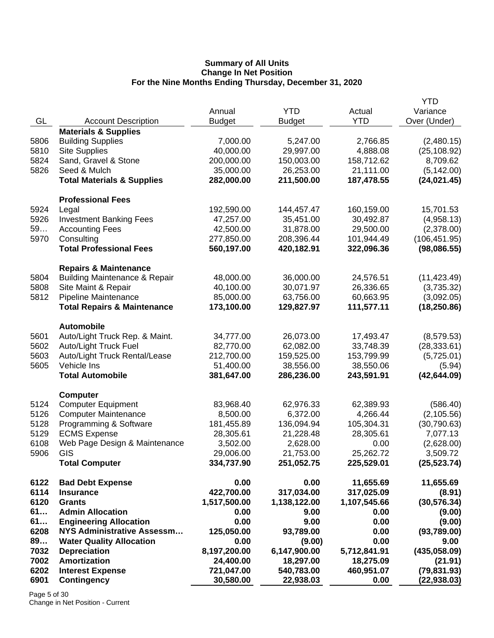|      |                                          | Annual        | <b>YTD</b>    | Actual       | YTD<br>Variance |
|------|------------------------------------------|---------------|---------------|--------------|-----------------|
| GL   | <b>Account Description</b>               | <b>Budget</b> | <b>Budget</b> | <b>YTD</b>   | Over (Under)    |
|      | <b>Materials &amp; Supplies</b>          |               |               |              |                 |
| 5806 | <b>Building Supplies</b>                 | 7,000.00      | 5,247.00      | 2,766.85     | (2,480.15)      |
| 5810 | <b>Site Supplies</b>                     | 40,000.00     | 29,997.00     | 4,888.08     | (25, 108.92)    |
| 5824 | Sand, Gravel & Stone                     | 200,000.00    | 150,003.00    | 158,712.62   | 8,709.62        |
| 5826 | Seed & Mulch                             | 35,000.00     | 26,253.00     | 21,111.00    | (5, 142.00)     |
|      | <b>Total Materials &amp; Supplies</b>    | 282,000.00    | 211,500.00    | 187,478.55   | (24, 021.45)    |
|      | <b>Professional Fees</b>                 |               |               |              |                 |
| 5924 | Legal                                    | 192,590.00    | 144,457.47    | 160,159.00   | 15,701.53       |
| 5926 | <b>Investment Banking Fees</b>           | 47,257.00     | 35,451.00     | 30,492.87    | (4,958.13)      |
| 59   | <b>Accounting Fees</b>                   | 42,500.00     | 31,878.00     | 29,500.00    | (2,378.00)      |
| 5970 | Consulting                               | 277,850.00    | 208,396.44    | 101,944.49   | (106, 451.95)   |
|      | <b>Total Professional Fees</b>           | 560,197.00    | 420,182.91    | 322,096.36   | (98,086.55)     |
|      | <b>Repairs &amp; Maintenance</b>         |               |               |              |                 |
| 5804 | <b>Building Maintenance &amp; Repair</b> | 48,000.00     | 36,000.00     | 24,576.51    | (11, 423.49)    |
| 5808 | Site Maint & Repair                      | 40,100.00     | 30,071.97     | 26,336.65    | (3,735.32)      |
| 5812 | Pipeline Maintenance                     | 85,000.00     | 63,756.00     | 60,663.95    | (3,092.05)      |
|      | <b>Total Repairs &amp; Maintenance</b>   | 173,100.00    | 129,827.97    | 111,577.11   | (18, 250.86)    |
|      | <b>Automobile</b>                        |               |               |              |                 |
| 5601 | Auto/Light Truck Rep. & Maint.           | 34,777.00     | 26,073.00     | 17,493.47    | (8,579.53)      |
| 5602 | Auto/Light Truck Fuel                    | 82,770.00     | 62,082.00     | 33,748.39    | (28, 333.61)    |
| 5603 | Auto/Light Truck Rental/Lease            | 212,700.00    | 159,525.00    | 153,799.99   | (5,725.01)      |
| 5605 | Vehicle Ins                              | 51,400.00     | 38,556.00     | 38,550.06    | (5.94)          |
|      | <b>Total Automobile</b>                  | 381,647.00    | 286,236.00    | 243,591.91   | (42, 644.09)    |
|      | <b>Computer</b>                          |               |               |              |                 |
| 5124 | <b>Computer Equipment</b>                | 83,968.40     | 62,976.33     | 62,389.93    | (586.40)        |
| 5126 | <b>Computer Maintenance</b>              | 8,500.00      | 6,372.00      | 4,266.44     | (2, 105.56)     |
| 5128 | Programming & Software                   | 181,455.89    | 136,094.94    | 105,304.31   | (30, 790.63)    |
| 5129 | <b>ECMS Expense</b>                      | 28,305.61     | 21,228.48     | 28,305.61    | 7,077.13        |
| 6108 | Web Page Design & Maintenance            | 3,502.00      | 2,628.00      | 0.00         | (2,628.00)      |
| 5906 | GIS                                      | 29,006.00     | 21,753.00     | 25,262.72    | 3,509.72        |
|      | <b>Total Computer</b>                    | 334,737.90    | 251,052.75    | 225,529.01   | (25, 523.74)    |
| 6122 | <b>Bad Debt Expense</b>                  | 0.00          | 0.00          | 11,655.69    | 11,655.69       |
| 6114 | <b>Insurance</b>                         | 422,700.00    | 317,034.00    | 317,025.09   | (8.91)          |
| 6120 | <b>Grants</b>                            | 1,517,500.00  | 1,138,122.00  | 1,107,545.66 | (30, 576.34)    |
| 61   | <b>Admin Allocation</b>                  | 0.00          | 9.00          | 0.00         | (9.00)          |
| 61   | <b>Engineering Allocation</b>            | 0.00          | 9.00          | 0.00         | (9.00)          |
| 6208 | NYS Administrative Assessm               | 125,050.00    | 93,789.00     | 0.00         | (93,789.00)     |
| 89   | <b>Water Quality Allocation</b>          | 0.00          | (9.00)        | 0.00         | 9.00            |
| 7032 | <b>Depreciation</b>                      | 8,197,200.00  | 6,147,900.00  | 5,712,841.91 | (435,058.09)    |
| 7002 | <b>Amortization</b>                      | 24,400.00     | 18,297.00     | 18,275.09    | (21.91)         |
| 6202 | <b>Interest Expense</b>                  | 721,047.00    | 540,783.00    | 460,951.07   | (79, 831.93)    |
| 6901 | <b>Contingency</b>                       | 30,580.00     | 22,938.03     | 0.00         | (22, 938.03)    |
|      |                                          |               |               |              |                 |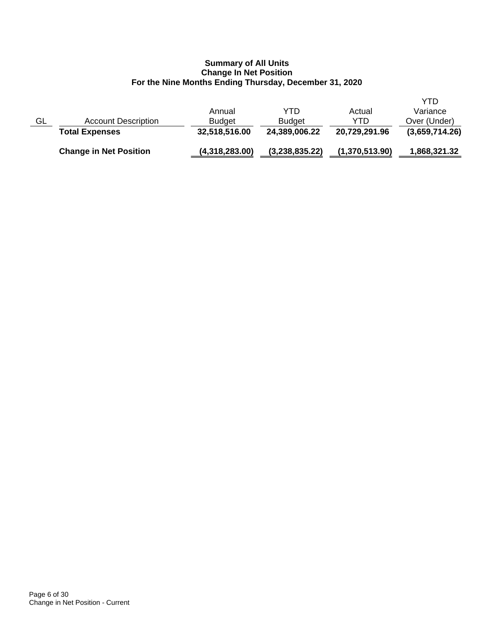|    | <b>Change in Net Position</b> | (4,318,283.00) | (3,238,835.22) | (1,370,513.90) | 1,868,321.32   |
|----|-------------------------------|----------------|----------------|----------------|----------------|
|    | <b>Total Expenses</b>         | 32,518,516.00  | 24,389,006.22  | 20,729,291.96  | (3,659,714.26) |
| GL | <b>Account Description</b>    | <b>Budget</b>  | <b>Budget</b>  | YTD            | Over (Under)   |
|    |                               | Annual         | YTD            | Actual         | Variance       |
|    |                               |                |                |                | YTD            |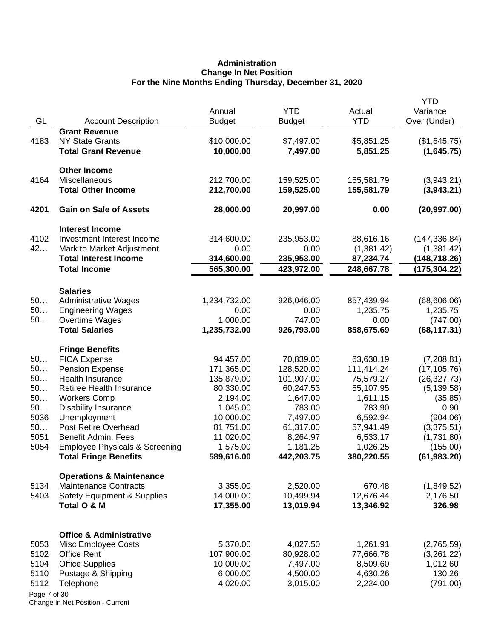# **Administration Change In Net Position For the Nine Months Ending Thursday, December 31, 2020**

| GL<br><b>YTD</b><br>Over (Under)<br><b>Account Description</b><br><b>Budget</b><br><b>Budget</b><br><b>Grant Revenue</b><br><b>NY State Grants</b><br>\$10,000.00<br>\$5,851.25<br>4183<br>\$7,497.00<br>(\$1,645.75)<br><b>Total Grant Revenue</b><br>10,000.00<br>7,497.00<br>5,851.25<br>(1,645.75)<br><b>Other Income</b><br>Miscellaneous<br>4164<br>212,700.00<br>159,525.00<br>155,581.79<br>(3,943.21)<br><b>Total Other Income</b><br>212,700.00<br>159,525.00<br>155,581.79<br>(3,943.21)<br>4201<br><b>Gain on Sale of Assets</b><br>28,000.00<br>0.00<br>(20, 997.00)<br>20,997.00<br><b>Interest Income</b><br>4102<br>Investment Interest Income<br>(147, 336.84)<br>314,600.00<br>235,953.00<br>88,616.16<br>42<br>Mark to Market Adjustment<br>0.00<br>0.00<br>(1,381.42)<br>(1,381.42)<br><b>Total Interest Income</b><br>314,600.00<br>235,953.00<br>87,234.74<br>(148, 718.26)<br>565,300.00<br>(175, 304.22)<br><b>Total Income</b><br>423,972.00<br>248,667.78<br><b>Salaries</b><br>50<br><b>Administrative Wages</b><br>1,234,732.00<br>926,046.00<br>(68,606.06)<br>857,439.94<br>50<br><b>Engineering Wages</b><br>0.00<br>0.00<br>1,235.75<br>1,235.75<br>50<br>1,000.00<br>747.00<br>Overtime Wages<br>0.00<br>(747.00)<br><b>Total Salaries</b><br>1,235,732.00<br>926,793.00<br>858,675.69<br>(68, 117.31)<br><b>Fringe Benefits</b><br>50<br><b>FICA Expense</b><br>94,457.00<br>70,839.00<br>63,630.19<br>(7,208.81)<br>50<br><b>Pension Expense</b><br>171,365.00<br>128,520.00<br>111,414.24<br>(17, 105.76)<br>50<br>Health Insurance<br>135,879.00<br>101,907.00<br>75,579.27<br>(26, 327.73)<br>50<br>Retiree Health Insurance<br>80,330.00<br>60,247.53<br>55,107.95<br>(5, 139.58)<br>50<br><b>Workers Comp</b><br>2,194.00<br>1,611.15<br>1,647.00<br>(35.85)<br>50<br><b>Disability Insurance</b><br>783.90<br>1,045.00<br>783.00<br>0.90<br>5036<br>Unemployment<br>6,592.94<br>(904.06)<br>10,000.00<br>7,497.00<br>50<br>Post Retire Overhead<br>81,751.00<br>61,317.00<br>57,941.49<br>(3,375.51)<br>5051<br><b>Benefit Admin. Fees</b><br>11,020.00<br>8,264.97<br>6,533.17<br>(1,731.80)<br>5054<br>1,026.25<br><b>Employee Physicals &amp; Screening</b><br>1,575.00<br>1,181.25<br>(155.00)<br>589,616.00<br>442,203.75<br>380,220.55<br>(61, 983.20)<br><b>Total Fringe Benefits</b><br><b>Operations &amp; Maintenance</b><br>5134<br><b>Maintenance Contracts</b><br>3,355.00<br>2,520.00<br>670.48<br>(1,849.52)<br>5403<br>14,000.00<br>10,499.94<br>12,676.44<br><b>Safety Equipment &amp; Supplies</b><br>2,176.50<br>17,355.00<br>13,019.94<br>13,346.92<br>326.98<br>Total O & M<br><b>Office &amp; Administrative</b><br>Misc Employee Costs<br>5,370.00<br>5053<br>4,027.50<br>1,261.91<br>(2,765.59)<br>5102<br><b>Office Rent</b><br>107,900.00<br>80,928.00<br>77,666.78<br>(3,261.22)<br>5104<br><b>Office Supplies</b><br>10,000.00<br>1,012.60<br>7,497.00<br>8,509.60<br>6,000.00<br>4,500.00<br>4,630.26<br>130.26<br>5110<br>Postage & Shipping<br>5112<br>4,020.00<br>2,224.00<br>(791.00)<br>Telephone<br>3,015.00<br>Page 7 of 30 |  | Annual | <b>YTD</b> | Actual | <b>YTD</b><br>Variance |
|----------------------------------------------------------------------------------------------------------------------------------------------------------------------------------------------------------------------------------------------------------------------------------------------------------------------------------------------------------------------------------------------------------------------------------------------------------------------------------------------------------------------------------------------------------------------------------------------------------------------------------------------------------------------------------------------------------------------------------------------------------------------------------------------------------------------------------------------------------------------------------------------------------------------------------------------------------------------------------------------------------------------------------------------------------------------------------------------------------------------------------------------------------------------------------------------------------------------------------------------------------------------------------------------------------------------------------------------------------------------------------------------------------------------------------------------------------------------------------------------------------------------------------------------------------------------------------------------------------------------------------------------------------------------------------------------------------------------------------------------------------------------------------------------------------------------------------------------------------------------------------------------------------------------------------------------------------------------------------------------------------------------------------------------------------------------------------------------------------------------------------------------------------------------------------------------------------------------------------------------------------------------------------------------------------------------------------------------------------------------------------------------------------------------------------------------------------------------------------------------------------------------------------------------------------------------------------------------------------------------------------------------------------------------------------------------------------------------------------------------------------------------------------------------------------------------------------------------------------------------------------------------------------------------------------------------------------------------------------------------------------------------------------------------------------------------------------------------------------|--|--------|------------|--------|------------------------|
|                                                                                                                                                                                                                                                                                                                                                                                                                                                                                                                                                                                                                                                                                                                                                                                                                                                                                                                                                                                                                                                                                                                                                                                                                                                                                                                                                                                                                                                                                                                                                                                                                                                                                                                                                                                                                                                                                                                                                                                                                                                                                                                                                                                                                                                                                                                                                                                                                                                                                                                                                                                                                                                                                                                                                                                                                                                                                                                                                                                                                                                                                                          |  |        |            |        |                        |
|                                                                                                                                                                                                                                                                                                                                                                                                                                                                                                                                                                                                                                                                                                                                                                                                                                                                                                                                                                                                                                                                                                                                                                                                                                                                                                                                                                                                                                                                                                                                                                                                                                                                                                                                                                                                                                                                                                                                                                                                                                                                                                                                                                                                                                                                                                                                                                                                                                                                                                                                                                                                                                                                                                                                                                                                                                                                                                                                                                                                                                                                                                          |  |        |            |        |                        |
|                                                                                                                                                                                                                                                                                                                                                                                                                                                                                                                                                                                                                                                                                                                                                                                                                                                                                                                                                                                                                                                                                                                                                                                                                                                                                                                                                                                                                                                                                                                                                                                                                                                                                                                                                                                                                                                                                                                                                                                                                                                                                                                                                                                                                                                                                                                                                                                                                                                                                                                                                                                                                                                                                                                                                                                                                                                                                                                                                                                                                                                                                                          |  |        |            |        |                        |
|                                                                                                                                                                                                                                                                                                                                                                                                                                                                                                                                                                                                                                                                                                                                                                                                                                                                                                                                                                                                                                                                                                                                                                                                                                                                                                                                                                                                                                                                                                                                                                                                                                                                                                                                                                                                                                                                                                                                                                                                                                                                                                                                                                                                                                                                                                                                                                                                                                                                                                                                                                                                                                                                                                                                                                                                                                                                                                                                                                                                                                                                                                          |  |        |            |        |                        |
|                                                                                                                                                                                                                                                                                                                                                                                                                                                                                                                                                                                                                                                                                                                                                                                                                                                                                                                                                                                                                                                                                                                                                                                                                                                                                                                                                                                                                                                                                                                                                                                                                                                                                                                                                                                                                                                                                                                                                                                                                                                                                                                                                                                                                                                                                                                                                                                                                                                                                                                                                                                                                                                                                                                                                                                                                                                                                                                                                                                                                                                                                                          |  |        |            |        |                        |
|                                                                                                                                                                                                                                                                                                                                                                                                                                                                                                                                                                                                                                                                                                                                                                                                                                                                                                                                                                                                                                                                                                                                                                                                                                                                                                                                                                                                                                                                                                                                                                                                                                                                                                                                                                                                                                                                                                                                                                                                                                                                                                                                                                                                                                                                                                                                                                                                                                                                                                                                                                                                                                                                                                                                                                                                                                                                                                                                                                                                                                                                                                          |  |        |            |        |                        |
|                                                                                                                                                                                                                                                                                                                                                                                                                                                                                                                                                                                                                                                                                                                                                                                                                                                                                                                                                                                                                                                                                                                                                                                                                                                                                                                                                                                                                                                                                                                                                                                                                                                                                                                                                                                                                                                                                                                                                                                                                                                                                                                                                                                                                                                                                                                                                                                                                                                                                                                                                                                                                                                                                                                                                                                                                                                                                                                                                                                                                                                                                                          |  |        |            |        |                        |
|                                                                                                                                                                                                                                                                                                                                                                                                                                                                                                                                                                                                                                                                                                                                                                                                                                                                                                                                                                                                                                                                                                                                                                                                                                                                                                                                                                                                                                                                                                                                                                                                                                                                                                                                                                                                                                                                                                                                                                                                                                                                                                                                                                                                                                                                                                                                                                                                                                                                                                                                                                                                                                                                                                                                                                                                                                                                                                                                                                                                                                                                                                          |  |        |            |        |                        |
|                                                                                                                                                                                                                                                                                                                                                                                                                                                                                                                                                                                                                                                                                                                                                                                                                                                                                                                                                                                                                                                                                                                                                                                                                                                                                                                                                                                                                                                                                                                                                                                                                                                                                                                                                                                                                                                                                                                                                                                                                                                                                                                                                                                                                                                                                                                                                                                                                                                                                                                                                                                                                                                                                                                                                                                                                                                                                                                                                                                                                                                                                                          |  |        |            |        |                        |
|                                                                                                                                                                                                                                                                                                                                                                                                                                                                                                                                                                                                                                                                                                                                                                                                                                                                                                                                                                                                                                                                                                                                                                                                                                                                                                                                                                                                                                                                                                                                                                                                                                                                                                                                                                                                                                                                                                                                                                                                                                                                                                                                                                                                                                                                                                                                                                                                                                                                                                                                                                                                                                                                                                                                                                                                                                                                                                                                                                                                                                                                                                          |  |        |            |        |                        |
|                                                                                                                                                                                                                                                                                                                                                                                                                                                                                                                                                                                                                                                                                                                                                                                                                                                                                                                                                                                                                                                                                                                                                                                                                                                                                                                                                                                                                                                                                                                                                                                                                                                                                                                                                                                                                                                                                                                                                                                                                                                                                                                                                                                                                                                                                                                                                                                                                                                                                                                                                                                                                                                                                                                                                                                                                                                                                                                                                                                                                                                                                                          |  |        |            |        |                        |
|                                                                                                                                                                                                                                                                                                                                                                                                                                                                                                                                                                                                                                                                                                                                                                                                                                                                                                                                                                                                                                                                                                                                                                                                                                                                                                                                                                                                                                                                                                                                                                                                                                                                                                                                                                                                                                                                                                                                                                                                                                                                                                                                                                                                                                                                                                                                                                                                                                                                                                                                                                                                                                                                                                                                                                                                                                                                                                                                                                                                                                                                                                          |  |        |            |        |                        |
|                                                                                                                                                                                                                                                                                                                                                                                                                                                                                                                                                                                                                                                                                                                                                                                                                                                                                                                                                                                                                                                                                                                                                                                                                                                                                                                                                                                                                                                                                                                                                                                                                                                                                                                                                                                                                                                                                                                                                                                                                                                                                                                                                                                                                                                                                                                                                                                                                                                                                                                                                                                                                                                                                                                                                                                                                                                                                                                                                                                                                                                                                                          |  |        |            |        |                        |
|                                                                                                                                                                                                                                                                                                                                                                                                                                                                                                                                                                                                                                                                                                                                                                                                                                                                                                                                                                                                                                                                                                                                                                                                                                                                                                                                                                                                                                                                                                                                                                                                                                                                                                                                                                                                                                                                                                                                                                                                                                                                                                                                                                                                                                                                                                                                                                                                                                                                                                                                                                                                                                                                                                                                                                                                                                                                                                                                                                                                                                                                                                          |  |        |            |        |                        |
|                                                                                                                                                                                                                                                                                                                                                                                                                                                                                                                                                                                                                                                                                                                                                                                                                                                                                                                                                                                                                                                                                                                                                                                                                                                                                                                                                                                                                                                                                                                                                                                                                                                                                                                                                                                                                                                                                                                                                                                                                                                                                                                                                                                                                                                                                                                                                                                                                                                                                                                                                                                                                                                                                                                                                                                                                                                                                                                                                                                                                                                                                                          |  |        |            |        |                        |
|                                                                                                                                                                                                                                                                                                                                                                                                                                                                                                                                                                                                                                                                                                                                                                                                                                                                                                                                                                                                                                                                                                                                                                                                                                                                                                                                                                                                                                                                                                                                                                                                                                                                                                                                                                                                                                                                                                                                                                                                                                                                                                                                                                                                                                                                                                                                                                                                                                                                                                                                                                                                                                                                                                                                                                                                                                                                                                                                                                                                                                                                                                          |  |        |            |        |                        |
|                                                                                                                                                                                                                                                                                                                                                                                                                                                                                                                                                                                                                                                                                                                                                                                                                                                                                                                                                                                                                                                                                                                                                                                                                                                                                                                                                                                                                                                                                                                                                                                                                                                                                                                                                                                                                                                                                                                                                                                                                                                                                                                                                                                                                                                                                                                                                                                                                                                                                                                                                                                                                                                                                                                                                                                                                                                                                                                                                                                                                                                                                                          |  |        |            |        |                        |
|                                                                                                                                                                                                                                                                                                                                                                                                                                                                                                                                                                                                                                                                                                                                                                                                                                                                                                                                                                                                                                                                                                                                                                                                                                                                                                                                                                                                                                                                                                                                                                                                                                                                                                                                                                                                                                                                                                                                                                                                                                                                                                                                                                                                                                                                                                                                                                                                                                                                                                                                                                                                                                                                                                                                                                                                                                                                                                                                                                                                                                                                                                          |  |        |            |        |                        |
|                                                                                                                                                                                                                                                                                                                                                                                                                                                                                                                                                                                                                                                                                                                                                                                                                                                                                                                                                                                                                                                                                                                                                                                                                                                                                                                                                                                                                                                                                                                                                                                                                                                                                                                                                                                                                                                                                                                                                                                                                                                                                                                                                                                                                                                                                                                                                                                                                                                                                                                                                                                                                                                                                                                                                                                                                                                                                                                                                                                                                                                                                                          |  |        |            |        |                        |
|                                                                                                                                                                                                                                                                                                                                                                                                                                                                                                                                                                                                                                                                                                                                                                                                                                                                                                                                                                                                                                                                                                                                                                                                                                                                                                                                                                                                                                                                                                                                                                                                                                                                                                                                                                                                                                                                                                                                                                                                                                                                                                                                                                                                                                                                                                                                                                                                                                                                                                                                                                                                                                                                                                                                                                                                                                                                                                                                                                                                                                                                                                          |  |        |            |        |                        |
|                                                                                                                                                                                                                                                                                                                                                                                                                                                                                                                                                                                                                                                                                                                                                                                                                                                                                                                                                                                                                                                                                                                                                                                                                                                                                                                                                                                                                                                                                                                                                                                                                                                                                                                                                                                                                                                                                                                                                                                                                                                                                                                                                                                                                                                                                                                                                                                                                                                                                                                                                                                                                                                                                                                                                                                                                                                                                                                                                                                                                                                                                                          |  |        |            |        |                        |
|                                                                                                                                                                                                                                                                                                                                                                                                                                                                                                                                                                                                                                                                                                                                                                                                                                                                                                                                                                                                                                                                                                                                                                                                                                                                                                                                                                                                                                                                                                                                                                                                                                                                                                                                                                                                                                                                                                                                                                                                                                                                                                                                                                                                                                                                                                                                                                                                                                                                                                                                                                                                                                                                                                                                                                                                                                                                                                                                                                                                                                                                                                          |  |        |            |        |                        |
|                                                                                                                                                                                                                                                                                                                                                                                                                                                                                                                                                                                                                                                                                                                                                                                                                                                                                                                                                                                                                                                                                                                                                                                                                                                                                                                                                                                                                                                                                                                                                                                                                                                                                                                                                                                                                                                                                                                                                                                                                                                                                                                                                                                                                                                                                                                                                                                                                                                                                                                                                                                                                                                                                                                                                                                                                                                                                                                                                                                                                                                                                                          |  |        |            |        |                        |
|                                                                                                                                                                                                                                                                                                                                                                                                                                                                                                                                                                                                                                                                                                                                                                                                                                                                                                                                                                                                                                                                                                                                                                                                                                                                                                                                                                                                                                                                                                                                                                                                                                                                                                                                                                                                                                                                                                                                                                                                                                                                                                                                                                                                                                                                                                                                                                                                                                                                                                                                                                                                                                                                                                                                                                                                                                                                                                                                                                                                                                                                                                          |  |        |            |        |                        |
|                                                                                                                                                                                                                                                                                                                                                                                                                                                                                                                                                                                                                                                                                                                                                                                                                                                                                                                                                                                                                                                                                                                                                                                                                                                                                                                                                                                                                                                                                                                                                                                                                                                                                                                                                                                                                                                                                                                                                                                                                                                                                                                                                                                                                                                                                                                                                                                                                                                                                                                                                                                                                                                                                                                                                                                                                                                                                                                                                                                                                                                                                                          |  |        |            |        |                        |
|                                                                                                                                                                                                                                                                                                                                                                                                                                                                                                                                                                                                                                                                                                                                                                                                                                                                                                                                                                                                                                                                                                                                                                                                                                                                                                                                                                                                                                                                                                                                                                                                                                                                                                                                                                                                                                                                                                                                                                                                                                                                                                                                                                                                                                                                                                                                                                                                                                                                                                                                                                                                                                                                                                                                                                                                                                                                                                                                                                                                                                                                                                          |  |        |            |        |                        |
|                                                                                                                                                                                                                                                                                                                                                                                                                                                                                                                                                                                                                                                                                                                                                                                                                                                                                                                                                                                                                                                                                                                                                                                                                                                                                                                                                                                                                                                                                                                                                                                                                                                                                                                                                                                                                                                                                                                                                                                                                                                                                                                                                                                                                                                                                                                                                                                                                                                                                                                                                                                                                                                                                                                                                                                                                                                                                                                                                                                                                                                                                                          |  |        |            |        |                        |
|                                                                                                                                                                                                                                                                                                                                                                                                                                                                                                                                                                                                                                                                                                                                                                                                                                                                                                                                                                                                                                                                                                                                                                                                                                                                                                                                                                                                                                                                                                                                                                                                                                                                                                                                                                                                                                                                                                                                                                                                                                                                                                                                                                                                                                                                                                                                                                                                                                                                                                                                                                                                                                                                                                                                                                                                                                                                                                                                                                                                                                                                                                          |  |        |            |        |                        |
|                                                                                                                                                                                                                                                                                                                                                                                                                                                                                                                                                                                                                                                                                                                                                                                                                                                                                                                                                                                                                                                                                                                                                                                                                                                                                                                                                                                                                                                                                                                                                                                                                                                                                                                                                                                                                                                                                                                                                                                                                                                                                                                                                                                                                                                                                                                                                                                                                                                                                                                                                                                                                                                                                                                                                                                                                                                                                                                                                                                                                                                                                                          |  |        |            |        |                        |
|                                                                                                                                                                                                                                                                                                                                                                                                                                                                                                                                                                                                                                                                                                                                                                                                                                                                                                                                                                                                                                                                                                                                                                                                                                                                                                                                                                                                                                                                                                                                                                                                                                                                                                                                                                                                                                                                                                                                                                                                                                                                                                                                                                                                                                                                                                                                                                                                                                                                                                                                                                                                                                                                                                                                                                                                                                                                                                                                                                                                                                                                                                          |  |        |            |        |                        |
|                                                                                                                                                                                                                                                                                                                                                                                                                                                                                                                                                                                                                                                                                                                                                                                                                                                                                                                                                                                                                                                                                                                                                                                                                                                                                                                                                                                                                                                                                                                                                                                                                                                                                                                                                                                                                                                                                                                                                                                                                                                                                                                                                                                                                                                                                                                                                                                                                                                                                                                                                                                                                                                                                                                                                                                                                                                                                                                                                                                                                                                                                                          |  |        |            |        |                        |
|                                                                                                                                                                                                                                                                                                                                                                                                                                                                                                                                                                                                                                                                                                                                                                                                                                                                                                                                                                                                                                                                                                                                                                                                                                                                                                                                                                                                                                                                                                                                                                                                                                                                                                                                                                                                                                                                                                                                                                                                                                                                                                                                                                                                                                                                                                                                                                                                                                                                                                                                                                                                                                                                                                                                                                                                                                                                                                                                                                                                                                                                                                          |  |        |            |        |                        |
|                                                                                                                                                                                                                                                                                                                                                                                                                                                                                                                                                                                                                                                                                                                                                                                                                                                                                                                                                                                                                                                                                                                                                                                                                                                                                                                                                                                                                                                                                                                                                                                                                                                                                                                                                                                                                                                                                                                                                                                                                                                                                                                                                                                                                                                                                                                                                                                                                                                                                                                                                                                                                                                                                                                                                                                                                                                                                                                                                                                                                                                                                                          |  |        |            |        |                        |
|                                                                                                                                                                                                                                                                                                                                                                                                                                                                                                                                                                                                                                                                                                                                                                                                                                                                                                                                                                                                                                                                                                                                                                                                                                                                                                                                                                                                                                                                                                                                                                                                                                                                                                                                                                                                                                                                                                                                                                                                                                                                                                                                                                                                                                                                                                                                                                                                                                                                                                                                                                                                                                                                                                                                                                                                                                                                                                                                                                                                                                                                                                          |  |        |            |        |                        |
|                                                                                                                                                                                                                                                                                                                                                                                                                                                                                                                                                                                                                                                                                                                                                                                                                                                                                                                                                                                                                                                                                                                                                                                                                                                                                                                                                                                                                                                                                                                                                                                                                                                                                                                                                                                                                                                                                                                                                                                                                                                                                                                                                                                                                                                                                                                                                                                                                                                                                                                                                                                                                                                                                                                                                                                                                                                                                                                                                                                                                                                                                                          |  |        |            |        |                        |
|                                                                                                                                                                                                                                                                                                                                                                                                                                                                                                                                                                                                                                                                                                                                                                                                                                                                                                                                                                                                                                                                                                                                                                                                                                                                                                                                                                                                                                                                                                                                                                                                                                                                                                                                                                                                                                                                                                                                                                                                                                                                                                                                                                                                                                                                                                                                                                                                                                                                                                                                                                                                                                                                                                                                                                                                                                                                                                                                                                                                                                                                                                          |  |        |            |        |                        |
|                                                                                                                                                                                                                                                                                                                                                                                                                                                                                                                                                                                                                                                                                                                                                                                                                                                                                                                                                                                                                                                                                                                                                                                                                                                                                                                                                                                                                                                                                                                                                                                                                                                                                                                                                                                                                                                                                                                                                                                                                                                                                                                                                                                                                                                                                                                                                                                                                                                                                                                                                                                                                                                                                                                                                                                                                                                                                                                                                                                                                                                                                                          |  |        |            |        |                        |
|                                                                                                                                                                                                                                                                                                                                                                                                                                                                                                                                                                                                                                                                                                                                                                                                                                                                                                                                                                                                                                                                                                                                                                                                                                                                                                                                                                                                                                                                                                                                                                                                                                                                                                                                                                                                                                                                                                                                                                                                                                                                                                                                                                                                                                                                                                                                                                                                                                                                                                                                                                                                                                                                                                                                                                                                                                                                                                                                                                                                                                                                                                          |  |        |            |        |                        |
|                                                                                                                                                                                                                                                                                                                                                                                                                                                                                                                                                                                                                                                                                                                                                                                                                                                                                                                                                                                                                                                                                                                                                                                                                                                                                                                                                                                                                                                                                                                                                                                                                                                                                                                                                                                                                                                                                                                                                                                                                                                                                                                                                                                                                                                                                                                                                                                                                                                                                                                                                                                                                                                                                                                                                                                                                                                                                                                                                                                                                                                                                                          |  |        |            |        |                        |
|                                                                                                                                                                                                                                                                                                                                                                                                                                                                                                                                                                                                                                                                                                                                                                                                                                                                                                                                                                                                                                                                                                                                                                                                                                                                                                                                                                                                                                                                                                                                                                                                                                                                                                                                                                                                                                                                                                                                                                                                                                                                                                                                                                                                                                                                                                                                                                                                                                                                                                                                                                                                                                                                                                                                                                                                                                                                                                                                                                                                                                                                                                          |  |        |            |        |                        |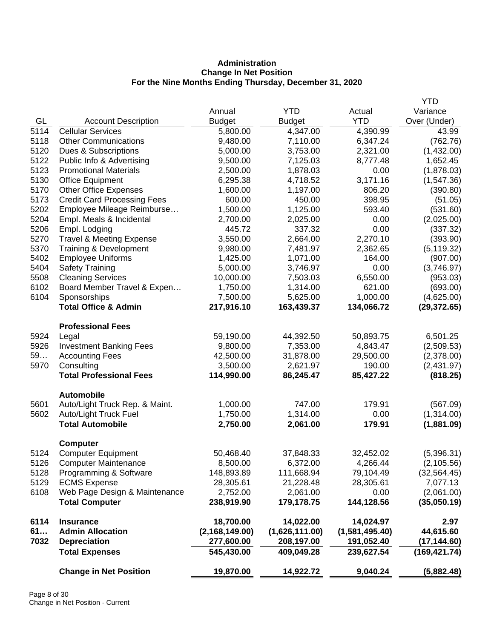## **Administration Change In Net Position For the Nine Months Ending Thursday, December 31, 2020**

|      |                                     |                  |                |                | <b>YTD</b>    |
|------|-------------------------------------|------------------|----------------|----------------|---------------|
|      |                                     | Annual           | <b>YTD</b>     | Actual         | Variance      |
| GL   | <b>Account Description</b>          | <b>Budget</b>    | <b>Budget</b>  | <b>YTD</b>     | Over (Under)  |
| 5114 | <b>Cellular Services</b>            | 5,800.00         | 4,347.00       | 4,390.99       | 43.99         |
| 5118 | <b>Other Communications</b>         | 9,480.00         | 7,110.00       | 6,347.24       | (762.76)      |
| 5120 | Dues & Subscriptions                | 5,000.00         | 3,753.00       | 2,321.00       | (1,432.00)    |
| 5122 | Public Info & Advertising           | 9,500.00         | 7,125.03       | 8,777.48       | 1,652.45      |
| 5123 | <b>Promotional Materials</b>        | 2,500.00         | 1,878.03       | 0.00           | (1,878.03)    |
| 5130 | <b>Office Equipment</b>             | 6,295.38         | 4,718.52       | 3,171.16       | (1,547.36)    |
| 5170 | <b>Other Office Expenses</b>        | 1,600.00         | 1,197.00       | 806.20         | (390.80)      |
| 5173 | <b>Credit Card Processing Fees</b>  | 600.00           | 450.00         | 398.95         | (51.05)       |
| 5202 | Employee Mileage Reimburse          | 1,500.00         | 1,125.00       | 593.40         | (531.60)      |
| 5204 | Empl. Meals & Incidental            | 2,700.00         | 2,025.00       | 0.00           | (2,025.00)    |
| 5206 | Empl. Lodging                       | 445.72           | 337.32         | 0.00           | (337.32)      |
| 5270 | <b>Travel &amp; Meeting Expense</b> | 3,550.00         | 2,664.00       | 2,270.10       | (393.90)      |
| 5370 | Training & Development              | 9,980.00         | 7,481.97       | 2,362.65       | (5, 119.32)   |
| 5402 | <b>Employee Uniforms</b>            | 1,425.00         | 1,071.00       | 164.00         | (907.00)      |
| 5404 | <b>Safety Training</b>              | 5,000.00         | 3,746.97       | 0.00           | (3,746.97)    |
| 5508 | <b>Cleaning Services</b>            | 10,000.00        | 7,503.03       | 6,550.00       | (953.03)      |
| 6102 | Board Member Travel & Expen         | 1,750.00         | 1,314.00       | 621.00         | (693.00)      |
| 6104 | Sponsorships                        | 7,500.00         | 5,625.00       | 1,000.00       | (4,625.00)    |
|      | <b>Total Office &amp; Admin</b>     | 217,916.10       | 163,439.37     | 134,066.72     | (29, 372.65)  |
|      | <b>Professional Fees</b>            |                  |                |                |               |
| 5924 | Legal                               | 59,190.00        | 44,392.50      | 50,893.75      | 6,501.25      |
| 5926 | <b>Investment Banking Fees</b>      | 9,800.00         | 7,353.00       | 4,843.47       | (2,509.53)    |
| 59   | <b>Accounting Fees</b>              | 42,500.00        | 31,878.00      | 29,500.00      | (2,378.00)    |
| 5970 | Consulting                          | 3,500.00         | 2,621.97       | 190.00         | (2,431.97)    |
|      | <b>Total Professional Fees</b>      | 114,990.00       | 86,245.47      | 85,427.22      | (818.25)      |
|      | <b>Automobile</b>                   |                  |                |                |               |
| 5601 | Auto/Light Truck Rep. & Maint.      | 1,000.00         | 747.00         | 179.91         | (567.09)      |
| 5602 | Auto/Light Truck Fuel               | 1,750.00         | 1,314.00       | 0.00           | (1,314.00)    |
|      | <b>Total Automobile</b>             | 2,750.00         | 2,061.00       | 179.91         | (1,881.09)    |
|      | <b>Computer</b>                     |                  |                |                |               |
| 5124 | <b>Computer Equipment</b>           | 50,468.40        | 37,848.33      | 32,452.02      | (5,396.31)    |
| 5126 | <b>Computer Maintenance</b>         | 8,500.00         | 6,372.00       | 4,266.44       | (2, 105.56)   |
| 5128 | Programming & Software              | 148,893.89       | 111,668.94     | 79,104.49      | (32, 564.45)  |
| 5129 | <b>ECMS Expense</b>                 | 28,305.61        | 21,228.48      | 28,305.61      | 7,077.13      |
| 6108 | Web Page Design & Maintenance       | 2,752.00         | 2,061.00       | 0.00           | (2,061.00)    |
|      | <b>Total Computer</b>               | 238,919.90       | 179,178.75     | 144,128.56     | (35,050.19)   |
| 6114 | <b>Insurance</b>                    | 18,700.00        | 14,022.00      | 14,024.97      | 2.97          |
| 61   | <b>Admin Allocation</b>             | (2, 168, 149.00) | (1,626,111.00) | (1,581,495.40) | 44,615.60     |
| 7032 | <b>Depreciation</b>                 | 277,600.00       | 208,197.00     | 191,052.40     | (17,144.60)   |
|      | <b>Total Expenses</b>               | 545,430.00       | 409,049.28     | 239,627.54     | (169, 421.74) |
|      | <b>Change in Net Position</b>       | 19,870.00        | 14,922.72      | 9,040.24       | (5,882.48)    |
|      |                                     |                  |                |                |               |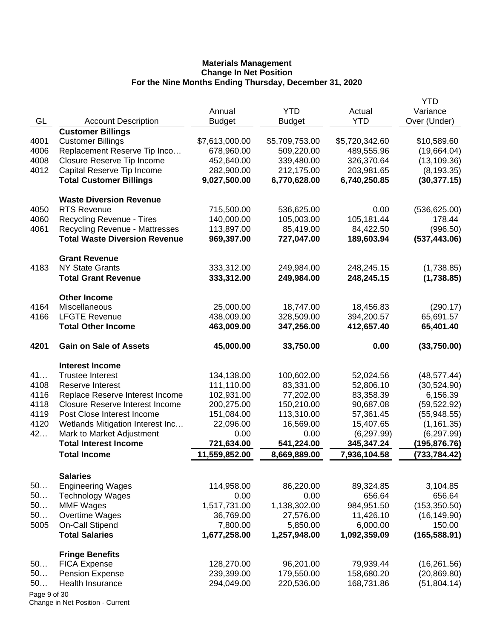|              |                                        |                |                |                | <b>YTD</b>    |
|--------------|----------------------------------------|----------------|----------------|----------------|---------------|
|              |                                        | Annual         | <b>YTD</b>     | Actual         | Variance      |
| GL           | <b>Account Description</b>             | <b>Budget</b>  | <b>Budget</b>  | <b>YTD</b>     | Over (Under)  |
|              | <b>Customer Billings</b>               |                |                |                |               |
| 4001         | <b>Customer Billings</b>               | \$7,613,000.00 | \$5,709,753.00 | \$5,720,342.60 | \$10,589.60   |
| 4006         | Replacement Reserve Tip Inco           | 678,960.00     | 509,220.00     | 489,555.96     | (19,664.04)   |
| 4008         | Closure Reserve Tip Income             | 452,640.00     | 339,480.00     | 326,370.64     | (13, 109.36)  |
| 4012         | Capital Reserve Tip Income             | 282,900.00     | 212,175.00     | 203,981.65     | (8, 193.35)   |
|              | <b>Total Customer Billings</b>         | 9,027,500.00   | 6,770,628.00   | 6,740,250.85   | (30, 377.15)  |
|              | <b>Waste Diversion Revenue</b>         |                |                |                |               |
| 4050         | <b>RTS Revenue</b>                     | 715,500.00     | 536,625.00     | 0.00           | (536, 625.00) |
| 4060         | Recycling Revenue - Tires              | 140,000.00     | 105,003.00     | 105,181.44     | 178.44        |
| 4061         | <b>Recycling Revenue - Mattresses</b>  | 113,897.00     | 85,419.00      | 84,422.50      | (996.50)      |
|              | <b>Total Waste Diversion Revenue</b>   | 969,397.00     | 727,047.00     | 189,603.94     | (537, 443.06) |
|              | <b>Grant Revenue</b>                   |                |                |                |               |
| 4183         | <b>NY State Grants</b>                 | 333,312.00     | 249,984.00     | 248,245.15     | (1,738.85)    |
|              | <b>Total Grant Revenue</b>             | 333,312.00     | 249,984.00     | 248,245.15     | (1,738.85)    |
|              | <b>Other Income</b>                    |                |                |                |               |
| 4164         | Miscellaneous                          | 25,000.00      | 18,747.00      | 18,456.83      | (290.17)      |
| 4166         | <b>LFGTE Revenue</b>                   | 438,009.00     | 328,509.00     | 394,200.57     | 65,691.57     |
|              | <b>Total Other Income</b>              | 463,009.00     | 347,256.00     | 412,657.40     | 65,401.40     |
| 4201         | <b>Gain on Sale of Assets</b>          | 45,000.00      | 33,750.00      | 0.00           | (33,750.00)   |
|              | <b>Interest Income</b>                 |                |                |                |               |
| 41           | <b>Trustee Interest</b>                | 134,138.00     | 100,602.00     | 52,024.56      | (48, 577.44)  |
| 4108         | Reserve Interest                       | 111,110.00     | 83,331.00      | 52,806.10      | (30,524.90)   |
| 4116         | Replace Reserve Interest Income        | 102,931.00     | 77,202.00      | 83,358.39      | 6,156.39      |
| 4118         | <b>Closure Reserve Interest Income</b> | 200,275.00     | 150,210.00     | 90,687.08      | (59, 522.92)  |
| 4119         | Post Close Interest Income             | 151,084.00     | 113,310.00     | 57,361.45      | (55,948.55)   |
| 4120         | Wetlands Mitigation Interest Inc       | 22,096.00      | 16,569.00      | 15,407.65      | (1, 161.35)   |
| 42           | Mark to Market Adjustment              | 0.00           | 0.00           | (6, 297.99)    | (6, 297.99)   |
|              | <b>Total Interest Income</b>           | 721,634.00     | 541,224.00     | 345,347.24     | (195,876.76)  |
|              | <b>Total Income</b>                    | 11,559,852.00  | 8,669,889.00   | 7,936,104.58   | (733, 784.42) |
|              | <b>Salaries</b>                        |                |                |                |               |
| 50           | <b>Engineering Wages</b>               | 114,958.00     | 86,220.00      | 89,324.85      | 3,104.85      |
| 50           | <b>Technology Wages</b>                | 0.00           | 0.00           | 656.64         | 656.64        |
| 50           | <b>MMF Wages</b>                       | 1,517,731.00   | 1,138,302.00   | 984,951.50     | (153, 350.50) |
| 50           | Overtime Wages                         | 36,769.00      | 27,576.00      | 11,426.10      | (16, 149.90)  |
| 5005         | <b>On-Call Stipend</b>                 | 7,800.00       | 5,850.00       | 6,000.00       | 150.00        |
|              | <b>Total Salaries</b>                  | 1,677,258.00   | 1,257,948.00   | 1,092,359.09   | (165, 588.91) |
|              | <b>Fringe Benefits</b>                 |                |                |                |               |
| 50           | <b>FICA Expense</b>                    | 128,270.00     | 96,201.00      | 79,939.44      | (16, 261.56)  |
| 50           | <b>Pension Expense</b>                 | 239,399.00     | 179,550.00     | 158,680.20     | (20, 869.80)  |
| 50           | Health Insurance                       | 294,049.00     | 220,536.00     | 168,731.86     | (51,804.14)   |
| Page 9 of 30 |                                        |                |                |                |               |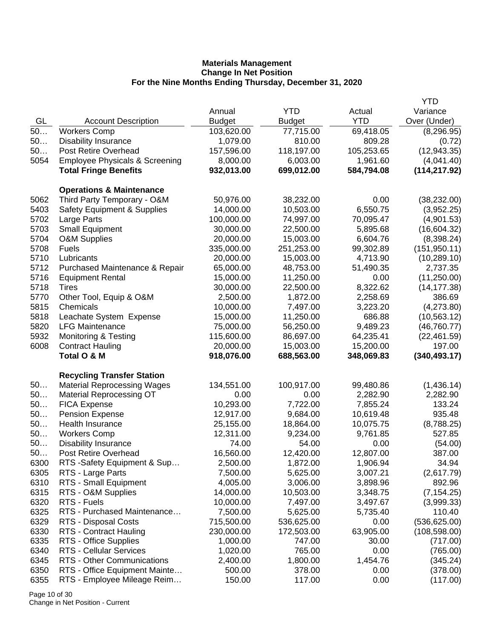|      |                                           |               |               |            | <b>YTD</b>    |
|------|-------------------------------------------|---------------|---------------|------------|---------------|
|      |                                           | Annual        | <b>YTD</b>    | Actual     | Variance      |
| GL   | <b>Account Description</b>                | <b>Budget</b> | <b>Budget</b> | <b>YTD</b> | Over (Under)  |
| 50   | <b>Workers Comp</b>                       | 103,620.00    | 77,715.00     | 69,418.05  | (8, 296.95)   |
| 50   | <b>Disability Insurance</b>               | 1,079.00      | 810.00        | 809.28     | (0.72)        |
| 50   | Post Retire Overhead                      | 157,596.00    | 118,197.00    | 105,253.65 | (12, 943.35)  |
| 5054 | <b>Employee Physicals &amp; Screening</b> | 8,000.00      | 6,003.00      | 1,961.60   | (4,041.40)    |
|      | <b>Total Fringe Benefits</b>              | 932,013.00    | 699,012.00    | 584,794.08 | (114, 217.92) |
|      | <b>Operations &amp; Maintenance</b>       |               |               |            |               |
| 5062 | Third Party Temporary - O&M               | 50,976.00     | 38,232.00     | 0.00       | (38, 232.00)  |
| 5403 | <b>Safety Equipment &amp; Supplies</b>    | 14,000.00     | 10,503.00     | 6,550.75   | (3,952.25)    |
| 5702 | Large Parts                               | 100,000.00    | 74,997.00     | 70,095.47  | (4,901.53)    |
| 5703 | <b>Small Equipment</b>                    | 30,000.00     | 22,500.00     | 5,895.68   | (16,604.32)   |
| 5704 | O&M Supplies                              | 20,000.00     | 15,003.00     | 6,604.76   | (8,398.24)    |
| 5708 | Fuels                                     | 335,000.00    | 251,253.00    | 99,302.89  | (151, 950.11) |
| 5710 | Lubricants                                | 20,000.00     | 15,003.00     | 4,713.90   | (10, 289.10)  |
| 5712 | Purchased Maintenance & Repair            | 65,000.00     | 48,753.00     | 51,490.35  | 2,737.35      |
| 5716 | <b>Equipment Rental</b>                   | 15,000.00     | 11,250.00     | 0.00       | (11, 250.00)  |
| 5718 | <b>Tires</b>                              | 30,000.00     | 22,500.00     | 8,322.62   | (14, 177.38)  |
| 5770 | Other Tool, Equip & O&M                   | 2,500.00      | 1,872.00      | 2,258.69   | 386.69        |
| 5815 | Chemicals                                 | 10,000.00     | 7,497.00      | 3,223.20   | (4,273.80)    |
| 5818 | Leachate System Expense                   | 15,000.00     | 11,250.00     | 686.88     | (10, 563.12)  |
| 5820 | <b>LFG Maintenance</b>                    | 75,000.00     | 56,250.00     | 9,489.23   | (46, 760.77)  |
| 5932 | <b>Monitoring &amp; Testing</b>           | 115,600.00    | 86,697.00     | 64,235.41  | (22, 461.59)  |
| 6008 | <b>Contract Hauling</b>                   | 20,000.00     | 15,003.00     | 15,200.00  | 197.00        |
|      | Total O & M                               | 918,076.00    | 688,563.00    | 348,069.83 | (340, 493.17) |
|      | <b>Recycling Transfer Station</b>         |               |               |            |               |
| 50   | <b>Material Reprocessing Wages</b>        | 134,551.00    | 100,917.00    | 99,480.86  | (1,436.14)    |
| 50   | <b>Material Reprocessing OT</b>           | 0.00          | 0.00          | 2,282.90   | 2,282.90      |
| 50   | <b>FICA Expense</b>                       | 10,293.00     | 7,722.00      | 7,855.24   | 133.24        |
| 50   | <b>Pension Expense</b>                    | 12,917.00     | 9,684.00      | 10,619.48  | 935.48        |
| 50   | Health Insurance                          | 25,155.00     | 18,864.00     | 10,075.75  | (8,788.25)    |
| 50   | <b>Workers Comp</b>                       | 12,311.00     | 9,234.00      | 9,761.85   | 527.85        |
| 50   | <b>Disability Insurance</b>               | 74.00         | 54.00         | 0.00       | (54.00)       |
| 50   | Post Retire Overhead                      | 16,560.00     | 12,420.00     | 12,807.00  | 387.00        |
| 6300 | RTS -Safety Equipment & Sup               | 2,500.00      | 1,872.00      | 1,906.94   | 34.94         |
| 6305 | RTS - Large Parts                         | 7,500.00      | 5,625.00      | 3,007.21   | (2,617.79)    |
| 6310 | RTS - Small Equipment                     | 4,005.00      | 3,006.00      | 3,898.96   | 892.96        |
| 6315 | RTS - O&M Supplies                        | 14,000.00     | 10,503.00     | 3,348.75   | (7, 154.25)   |
| 6320 | RTS - Fuels                               | 10,000.00     | 7,497.00      | 3,497.67   | (3,999.33)    |
| 6325 | RTS - Purchased Maintenance               | 7,500.00      | 5,625.00      | 5,735.40   | 110.40        |
| 6329 | RTS - Disposal Costs                      | 715,500.00    | 536,625.00    | 0.00       | (536, 625.00) |
| 6330 | RTS - Contract Hauling                    | 230,000.00    | 172,503.00    | 63,905.00  | (108, 598.00) |
| 6335 | RTS - Office Supplies                     | 1,000.00      | 747.00        | 30.00      | (717.00)      |
| 6340 | RTS - Cellular Services                   | 1,020.00      | 765.00        | 0.00       | (765.00)      |
| 6345 | RTS - Other Communications                | 2,400.00      | 1,800.00      | 1,454.76   | (345.24)      |
| 6350 | RTS - Office Equipment Mainte             | 500.00        | 378.00        | 0.00       | (378.00)      |
| 6355 | RTS - Employee Mileage Reim               | 150.00        | 117.00        | 0.00       | (117.00)      |

Page 10 of 30 Change in Net Position - Current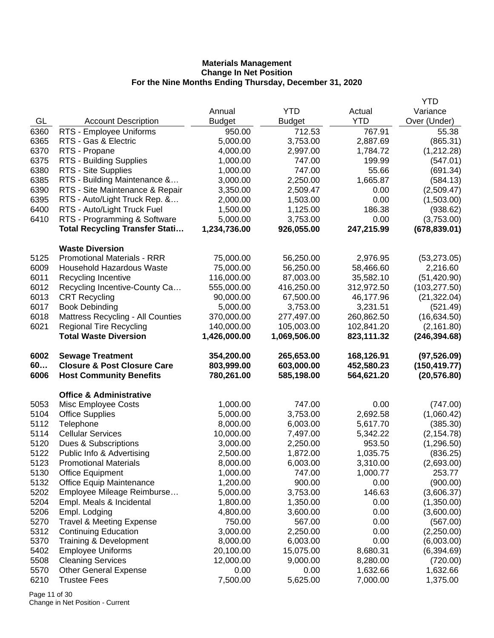|              |                                                           |                       |                      |                      | <b>YTD</b>                |
|--------------|-----------------------------------------------------------|-----------------------|----------------------|----------------------|---------------------------|
|              |                                                           | Annual                | <b>YTD</b>           | Actual               | Variance                  |
| GL           | <b>Account Description</b>                                | <b>Budget</b>         | <b>Budget</b>        | <b>YTD</b>           | Over (Under)              |
| 6360         | RTS - Employee Uniforms                                   | 950.00                | 712.53               | 767.91               | 55.38                     |
| 6365         | RTS - Gas & Electric                                      | 5,000.00              | 3,753.00             | 2,887.69             | (865.31)                  |
| 6370         | RTS - Propane                                             | 4,000.00              | 2,997.00             | 1,784.72             | (1,212.28)                |
| 6375         | RTS - Building Supplies                                   | 1,000.00              | 747.00               | 199.99               | (547.01)                  |
| 6380         | RTS - Site Supplies                                       | 1,000.00              | 747.00               | 55.66                | (691.34)                  |
| 6385         | RTS - Building Maintenance &                              | 3,000.00              | 2,250.00             | 1,665.87             | (584.13)                  |
| 6390         | RTS - Site Maintenance & Repair                           | 3,350.00              | 2,509.47             | 0.00                 | (2,509.47)                |
| 6395         | RTS - Auto/Light Truck Rep. &                             | 2,000.00              | 1,503.00             | 0.00                 | (1,503.00)                |
| 6400         | RTS - Auto/Light Truck Fuel                               | 1,500.00              | 1,125.00             | 186.38               | (938.62)                  |
| 6410         | RTS - Programming & Software                              | 5,000.00              | 3,753.00             | 0.00                 | (3,753.00)                |
|              | <b>Total Recycling Transfer Stati</b>                     | 1,234,736.00          | 926,055.00           | 247,215.99           | (678, 839.01)             |
|              | <b>Waste Diversion</b>                                    |                       |                      |                      |                           |
| 5125         | <b>Promotional Materials - RRR</b>                        | 75,000.00             | 56,250.00            | 2,976.95             | (53, 273.05)              |
| 6009         | <b>Household Hazardous Waste</b>                          | 75,000.00             | 56,250.00            | 58,466.60            | 2,216.60                  |
| 6011         | Recycling Incentive                                       | 116,000.00            | 87,003.00            | 35,582.10            | (51, 420.90)              |
| 6012         | Recycling Incentive-County Ca                             | 555,000.00            | 416,250.00           | 312,972.50           | (103, 277.50)             |
| 6013         | <b>CRT Recycling</b>                                      | 90,000.00             | 67,500.00            | 46,177.96            | (21, 322.04)              |
| 6017         | <b>Book Debinding</b>                                     | 5,000.00              | 3,753.00             | 3,231.51             | (521.49)                  |
| 6018         | Mattress Recycling - All Counties                         | 370,000.00            | 277,497.00           | 260,862.50           | (16, 634.50)              |
| 6021         | <b>Regional Tire Recycling</b>                            | 140,000.00            | 105,003.00           | 102,841.20           | (2, 161.80)               |
|              | <b>Total Waste Diversion</b>                              | 1,426,000.00          | 1,069,506.00         | 823,111.32           | (246, 394.68)             |
|              |                                                           |                       |                      |                      |                           |
|              |                                                           |                       |                      |                      |                           |
| 6002         | <b>Sewage Treatment</b>                                   | 354,200.00            | 265,653.00           | 168,126.91           | (97, 526.09)              |
| 60           | <b>Closure &amp; Post Closure Care</b>                    | 803,999.00            | 603,000.00           | 452,580.23           | (150, 419.77)             |
| 6006         | <b>Host Community Benefits</b>                            | 780,261.00            | 585,198.00           | 564,621.20           | (20, 576.80)              |
|              | <b>Office &amp; Administrative</b>                        |                       |                      |                      |                           |
| 5053         |                                                           | 1,000.00              | 747.00               | 0.00                 |                           |
| 5104         | Misc Employee Costs<br><b>Office Supplies</b>             | 5,000.00              | 3,753.00             | 2,692.58             | (747.00)                  |
| 5112         |                                                           |                       |                      |                      | (1,060.42)                |
| 5114         | Telephone<br><b>Cellular Services</b>                     | 8,000.00<br>10,000.00 | 6,003.00<br>7,497.00 | 5,617.70             | (385.30)                  |
| 5120         | Dues & Subscriptions                                      | 3,000.00              | 2,250.00             | 5,342.22<br>953.50   | (2, 154.78)<br>(1,296.50) |
| 5122         |                                                           |                       | 1,872.00             |                      |                           |
| 5123         | Public Info & Advertising<br><b>Promotional Materials</b> | 2,500.00              |                      | 1,035.75             | (836.25)                  |
|              |                                                           | 8,000.00              | 6,003.00             | 3,310.00             | (2,693.00)                |
| 5130         | <b>Office Equipment</b>                                   | 1,000.00              | 747.00               | 1,000.77             | 253.77                    |
| 5132         | <b>Office Equip Maintenance</b>                           | 1,200.00              | 900.00               | 0.00                 | (900.00)                  |
| 5202         | Employee Mileage Reimburse                                | 5,000.00              | 3,753.00             | 146.63               | (3,606.37)                |
| 5204         | Empl. Meals & Incidental                                  | 1,800.00              | 1,350.00             | 0.00                 | (1,350.00)                |
| 5206         | Empl. Lodging                                             | 4,800.00              | 3,600.00             | 0.00                 | (3,600.00)                |
| 5270         | <b>Travel &amp; Meeting Expense</b>                       | 750.00                | 567.00               | 0.00                 | (567.00)                  |
| 5312         | <b>Continuing Education</b>                               | 3,000.00              | 2,250.00             | 0.00                 | (2,250.00)                |
| 5370         | <b>Training &amp; Development</b>                         | 8,000.00              | 6,003.00             | 0.00                 | (6,003.00)                |
| 5402         | <b>Employee Uniforms</b>                                  | 20,100.00             | 15,075.00            | 8,680.31             | (6,394.69)                |
| 5508         | <b>Cleaning Services</b>                                  | 12,000.00             | 9,000.00             | 8,280.00             | (720.00)                  |
| 5570<br>6210 | <b>Other General Expense</b><br><b>Trustee Fees</b>       | 0.00<br>7,500.00      | 0.00<br>5,625.00     | 1,632.66<br>7,000.00 | 1,632.66<br>1,375.00      |

Page 11 of 30 Change in Net Position - Current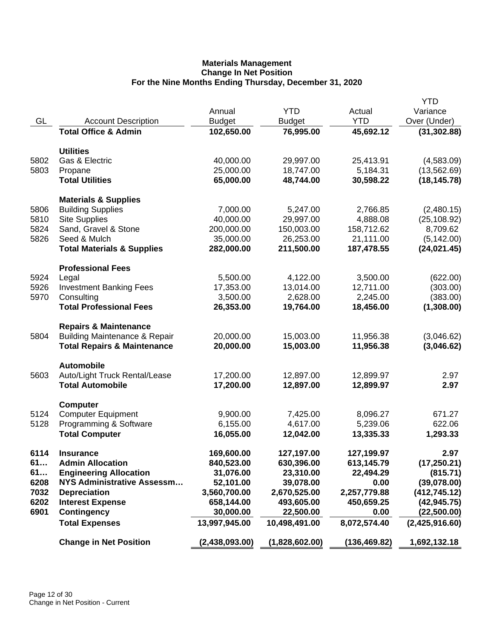|      |                                          |                |                |              | <b>YTD</b>     |
|------|------------------------------------------|----------------|----------------|--------------|----------------|
|      |                                          | Annual         | <b>YTD</b>     | Actual       | Variance       |
| GL   | <b>Account Description</b>               | <b>Budget</b>  | <b>Budget</b>  | <b>YTD</b>   | Over (Under)   |
|      | <b>Total Office &amp; Admin</b>          | 102,650.00     | 76,995.00      | 45,692.12    | (31, 302.88)   |
|      |                                          |                |                |              |                |
| 5802 | <b>Utilities</b><br>Gas & Electric       | 40,000.00      | 29,997.00      | 25,413.91    | (4,583.09)     |
| 5803 | Propane                                  | 25,000.00      | 18,747.00      | 5,184.31     | (13, 562.69)   |
|      | <b>Total Utilities</b>                   | 65,000.00      | 48,744.00      | 30,598.22    | (18, 145.78)   |
|      |                                          |                |                |              |                |
|      | <b>Materials &amp; Supplies</b>          |                |                |              |                |
| 5806 | <b>Building Supplies</b>                 | 7,000.00       | 5,247.00       | 2,766.85     | (2,480.15)     |
| 5810 | <b>Site Supplies</b>                     | 40,000.00      | 29,997.00      | 4,888.08     | (25, 108.92)   |
| 5824 | Sand, Gravel & Stone                     | 200,000.00     | 150,003.00     | 158,712.62   | 8,709.62       |
| 5826 | Seed & Mulch                             | 35,000.00      | 26,253.00      | 21,111.00    | (5, 142.00)    |
|      | <b>Total Materials &amp; Supplies</b>    | 282,000.00     | 211,500.00     | 187,478.55   | (24, 021.45)   |
|      | <b>Professional Fees</b>                 |                |                |              |                |
| 5924 | Legal                                    | 5,500.00       | 4,122.00       | 3,500.00     | (622.00)       |
| 5926 | <b>Investment Banking Fees</b>           | 17,353.00      | 13,014.00      | 12,711.00    | (303.00)       |
| 5970 | Consulting                               | 3,500.00       | 2,628.00       | 2,245.00     | (383.00)       |
|      | <b>Total Professional Fees</b>           | 26,353.00      | 19,764.00      | 18,456.00    | (1,308.00)     |
|      | <b>Repairs &amp; Maintenance</b>         |                |                |              |                |
| 5804 | <b>Building Maintenance &amp; Repair</b> | 20,000.00      | 15,003.00      | 11,956.38    | (3,046.62)     |
|      | <b>Total Repairs &amp; Maintenance</b>   | 20,000.00      | 15,003.00      | 11,956.38    | (3,046.62)     |
|      |                                          |                |                |              |                |
|      | <b>Automobile</b>                        |                |                |              |                |
| 5603 | Auto/Light Truck Rental/Lease            | 17,200.00      | 12,897.00      | 12,899.97    | 2.97           |
|      | <b>Total Automobile</b>                  | 17,200.00      | 12,897.00      | 12,899.97    | 2.97           |
|      | <b>Computer</b>                          |                |                |              |                |
| 5124 | <b>Computer Equipment</b>                | 9,900.00       | 7,425.00       | 8,096.27     | 671.27         |
| 5128 | Programming & Software                   | 6,155.00       | 4,617.00       | 5,239.06     | 622.06         |
|      | <b>Total Computer</b>                    | 16,055.00      | 12,042.00      | 13,335.33    | 1,293.33       |
| 6114 | <b>Insurance</b>                         | 169,600.00     | 127,197.00     | 127,199.97   | 2.97           |
| 61   | <b>Admin Allocation</b>                  | 840,523.00     | 630,396.00     | 613,145.79   | (17, 250.21)   |
| 61   | <b>Engineering Allocation</b>            | 31,076.00      | 23,310.00      | 22,494.29    | (815.71)       |
| 6208 | <b>NYS Administrative Assessm</b>        | 52,101.00      | 39,078.00      | 0.00         | (39,078.00)    |
| 7032 | <b>Depreciation</b>                      | 3,560,700.00   | 2,670,525.00   | 2,257,779.88 | (412, 745.12)  |
| 6202 | <b>Interest Expense</b>                  | 658,144.00     | 493,605.00     | 450,659.25   | (42, 945.75)   |
| 6901 | <b>Contingency</b>                       | 30,000.00      | 22,500.00      | 0.00         | (22,500.00)    |
|      | <b>Total Expenses</b>                    | 13,997,945.00  | 10,498,491.00  | 8,072,574.40 | (2,425,916.60) |
|      |                                          |                |                |              |                |
|      | <b>Change in Net Position</b>            | (2,438,093.00) | (1,828,602.00) | (136,469.82) | 1,692,132.18   |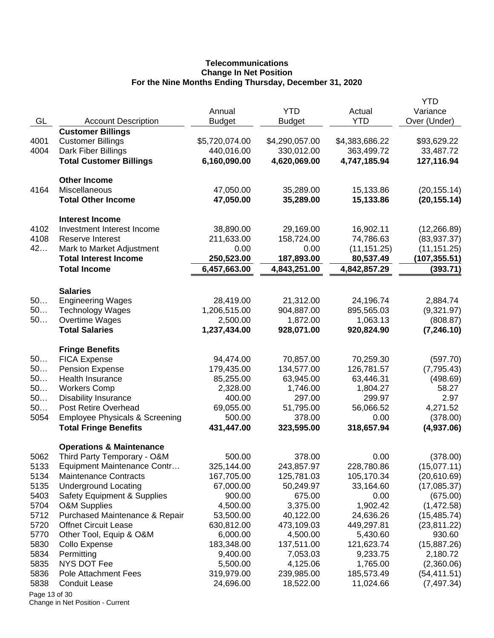## **Telecommunications Change In Net Position For the Nine Months Ending Thursday, December 31, 2020**

|               |                                           |                |                |                | <b>YTD</b>    |
|---------------|-------------------------------------------|----------------|----------------|----------------|---------------|
|               |                                           | Annual         | <b>YTD</b>     | Actual         | Variance      |
| GL            | <b>Account Description</b>                | <b>Budget</b>  | <b>Budget</b>  | <b>YTD</b>     | Over (Under)  |
|               | <b>Customer Billings</b>                  |                |                |                |               |
| 4001          | <b>Customer Billings</b>                  | \$5,720,074.00 | \$4,290,057.00 | \$4,383,686.22 | \$93,629.22   |
| 4004          | Dark Fiber Billings                       | 440,016.00     | 330,012.00     | 363,499.72     | 33,487.72     |
|               | <b>Total Customer Billings</b>            | 6,160,090.00   | 4,620,069.00   | 4,747,185.94   | 127,116.94    |
|               | <b>Other Income</b>                       |                |                |                |               |
| 4164          | Miscellaneous                             | 47,050.00      | 35,289.00      | 15,133.86      | (20, 155.14)  |
|               | <b>Total Other Income</b>                 | 47,050.00      | 35,289.00      | 15,133.86      | (20, 155.14)  |
|               | <b>Interest Income</b>                    |                |                |                |               |
| 4102          | Investment Interest Income                | 38,890.00      | 29,169.00      | 16,902.11      | (12, 266.89)  |
| 4108          | <b>Reserve Interest</b>                   | 211,633.00     | 158,724.00     | 74,786.63      | (83, 937.37)  |
| 42            | Mark to Market Adjustment                 | 0.00           | 0.00           | (11, 151.25)   | (11, 151.25)  |
|               | <b>Total Interest Income</b>              | 250,523.00     | 187,893.00     | 80,537.49      | (107, 355.51) |
|               | <b>Total Income</b>                       | 6,457,663.00   | 4,843,251.00   | 4,842,857.29   | (393.71)      |
|               | <b>Salaries</b>                           |                |                |                |               |
| 50            | <b>Engineering Wages</b>                  | 28,419.00      | 21,312.00      | 24,196.74      | 2,884.74      |
| 50            | <b>Technology Wages</b>                   | 1,206,515.00   | 904,887.00     | 895,565.03     | (9,321.97)    |
| 50            | Overtime Wages                            | 2,500.00       | 1,872.00       | 1,063.13       | (808.87)      |
|               | <b>Total Salaries</b>                     | 1,237,434.00   | 928,071.00     | 920,824.90     | (7, 246.10)   |
|               | <b>Fringe Benefits</b>                    |                |                |                |               |
| 50            | <b>FICA Expense</b>                       | 94,474.00      | 70,857.00      | 70,259.30      | (597.70)      |
| 50            | <b>Pension Expense</b>                    | 179,435.00     | 134,577.00     | 126,781.57     | (7, 795.43)   |
| 50            | Health Insurance                          | 85,255.00      | 63,945.00      | 63,446.31      | (498.69)      |
| 50            | <b>Workers Comp</b>                       | 2,328.00       | 1,746.00       | 1,804.27       | 58.27         |
| 50            | <b>Disability Insurance</b>               | 400.00         | 297.00         | 299.97         | 2.97          |
| 50            | Post Retire Overhead                      | 69,055.00      | 51,795.00      | 56,066.52      | 4,271.52      |
| 5054          | <b>Employee Physicals &amp; Screening</b> | 500.00         | 378.00         | 0.00           | (378.00)      |
|               | <b>Total Fringe Benefits</b>              | 431,447.00     | 323,595.00     | 318,657.94     | (4,937.06)    |
|               | <b>Operations &amp; Maintenance</b>       |                |                |                |               |
| 5062          | Third Party Temporary - O&M               | 500.00         | 378.00         | 0.00           | (378.00)      |
| 5133          | Equipment Maintenance Contr               | 325,144.00     | 243,857.97     | 228,780.86     | (15,077.11)   |
| 5134          | <b>Maintenance Contracts</b>              | 167,705.00     | 125,781.03     | 105,170.34     | (20,610.69)   |
| 5135          | <b>Underground Locating</b>               | 67,000.00      | 50,249.97      | 33,164.60      | (17,085.37)   |
| 5403          | <b>Safety Equipment &amp; Supplies</b>    | 900.00         | 675.00         | 0.00           | (675.00)      |
| 5704          | <b>O&amp;M Supplies</b>                   | 4,500.00       | 3,375.00       | 1,902.42       | (1,472.58)    |
| 5712          | Purchased Maintenance & Repair            | 53,500.00      | 40,122.00      | 24,636.26      | (15, 485.74)  |
| 5720          | <b>Offnet Circuit Lease</b>               | 630,812.00     | 473,109.03     | 449,297.81     | (23, 811.22)  |
| 5770          | Other Tool, Equip & O&M                   | 6,000.00       | 4,500.00       | 5,430.60       | 930.60        |
| 5830          | Collo Expense                             | 183,348.00     | 137,511.00     | 121,623.74     | (15,887.26)   |
| 5834          | Permitting                                | 9,400.00       | 7,053.03       | 9,233.75       | 2,180.72      |
| 5835          | NYS DOT Fee                               | 5,500.00       | 4,125.06       | 1,765.00       | (2,360.06)    |
| 5836          | <b>Pole Attachment Fees</b>               | 319,979.00     | 239,985.00     | 185,573.49     | (54, 411.51)  |
| 5838          | <b>Conduit Lease</b>                      | 24,696.00      | 18,522.00      | 11,024.66      | (7, 497.34)   |
| Page 13 of 30 |                                           |                |                |                |               |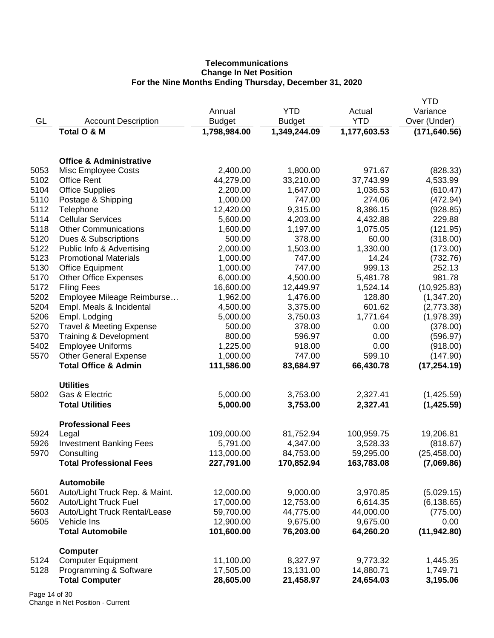# **Telecommunications Change In Net Position For the Nine Months Ending Thursday, December 31, 2020**

|      |                                                     |               |               |              | <b>YTD</b>    |
|------|-----------------------------------------------------|---------------|---------------|--------------|---------------|
|      |                                                     | Annual        | <b>YTD</b>    | Actual       | Variance      |
| GL   | <b>Account Description</b>                          | <b>Budget</b> | <b>Budget</b> | <b>YTD</b>   | Over (Under)  |
|      | <b>Total O &amp; M</b>                              | 1,798,984.00  | 1,349,244.09  | 1,177,603.53 | (171, 640.56) |
|      |                                                     |               |               |              |               |
|      | <b>Office &amp; Administrative</b>                  |               |               |              |               |
| 5053 | Misc Employee Costs                                 | 2,400.00      | 1,800.00      | 971.67       | (828.33)      |
| 5102 | <b>Office Rent</b>                                  | 44,279.00     | 33,210.00     | 37,743.99    | 4,533.99      |
| 5104 | <b>Office Supplies</b>                              | 2,200.00      | 1,647.00      | 1,036.53     | (610.47)      |
| 5110 | Postage & Shipping                                  | 1,000.00      | 747.00        | 274.06       | (472.94)      |
| 5112 | Telephone                                           | 12,420.00     | 9,315.00      | 8,386.15     | (928.85)      |
| 5114 | <b>Cellular Services</b>                            | 5,600.00      | 4,203.00      | 4,432.88     | 229.88        |
| 5118 | <b>Other Communications</b>                         | 1,600.00      | 1,197.00      | 1,075.05     | (121.95)      |
| 5120 | Dues & Subscriptions                                | 500.00        | 378.00        | 60.00        | (318.00)      |
| 5122 | Public Info & Advertising                           | 2,000.00      | 1,503.00      | 1,330.00     | (173.00)      |
| 5123 | <b>Promotional Materials</b>                        | 1,000.00      | 747.00        | 14.24        | (732.76)      |
| 5130 | <b>Office Equipment</b>                             | 1,000.00      | 747.00        | 999.13       | 252.13        |
| 5170 | <b>Other Office Expenses</b>                        | 6,000.00      | 4,500.00      | 5,481.78     | 981.78        |
| 5172 | <b>Filing Fees</b>                                  | 16,600.00     | 12,449.97     | 1,524.14     | (10, 925.83)  |
| 5202 | Employee Mileage Reimburse                          | 1,962.00      | 1,476.00      | 128.80       | (1,347.20)    |
| 5204 | Empl. Meals & Incidental                            | 4,500.00      | 3,375.00      | 601.62       | (2,773.38)    |
| 5206 | Empl. Lodging                                       | 5,000.00      | 3,750.03      | 1,771.64     | (1,978.39)    |
| 5270 | <b>Travel &amp; Meeting Expense</b>                 | 500.00        | 378.00        | 0.00         | (378.00)      |
| 5370 | Training & Development                              | 800.00        | 596.97        | 0.00         | (596.97)      |
| 5402 | <b>Employee Uniforms</b>                            | 1,225.00      | 918.00        | 0.00         | (918.00)      |
| 5570 | <b>Other General Expense</b>                        | 1,000.00      | 747.00        | 599.10       | (147.90)      |
|      | <b>Total Office &amp; Admin</b>                     | 111,586.00    | 83,684.97     | 66,430.78    | (17, 254.19)  |
|      | <b>Utilities</b>                                    |               |               |              |               |
| 5802 | Gas & Electric                                      | 5,000.00      | 3,753.00      | 2,327.41     | (1,425.59)    |
|      | <b>Total Utilities</b>                              | 5,000.00      | 3,753.00      | 2,327.41     | (1,425.59)    |
|      | <b>Professional Fees</b>                            |               |               |              |               |
| 5924 | Legal                                               | 109,000.00    | 81,752.94     | 100,959.75   | 19,206.81     |
| 5926 | <b>Investment Banking Fees</b>                      | 5,791.00      | 4,347.00      | 3,528.33     | (818.67)      |
| 5970 | Consulting                                          | 113,000.00    | 84,753.00     | 59,295.00    | (25, 458.00)  |
|      | <b>Total Professional Fees</b>                      | 227,791.00    | 170,852.94    | 163,783.08   | (7,069.86)    |
| 5601 | <b>Automobile</b><br>Auto/Light Truck Rep. & Maint. | 12,000.00     | 9,000.00      | 3,970.85     | (5,029.15)    |
| 5602 | Auto/Light Truck Fuel                               | 17,000.00     | 12,753.00     | 6,614.35     | (6, 138.65)   |
| 5603 | Auto/Light Truck Rental/Lease                       | 59,700.00     | 44,775.00     | 44,000.00    | (775.00)      |
| 5605 | Vehicle Ins                                         | 12,900.00     | 9,675.00      | 9,675.00     | 0.00          |
|      | <b>Total Automobile</b>                             | 101,600.00    | 76,203.00     | 64,260.20    | (11, 942.80)  |
|      |                                                     |               |               |              |               |
| 5124 | <b>Computer</b><br><b>Computer Equipment</b>        | 11,100.00     | 8,327.97      | 9,773.32     | 1,445.35      |
| 5128 | Programming & Software                              | 17,505.00     | 13,131.00     | 14,880.71    | 1,749.71      |
|      | <b>Total Computer</b>                               | 28,605.00     | 21,458.97     | 24,654.03    | 3,195.06      |
|      |                                                     |               |               |              |               |

Page 14 of 30 Change in Net Position - Current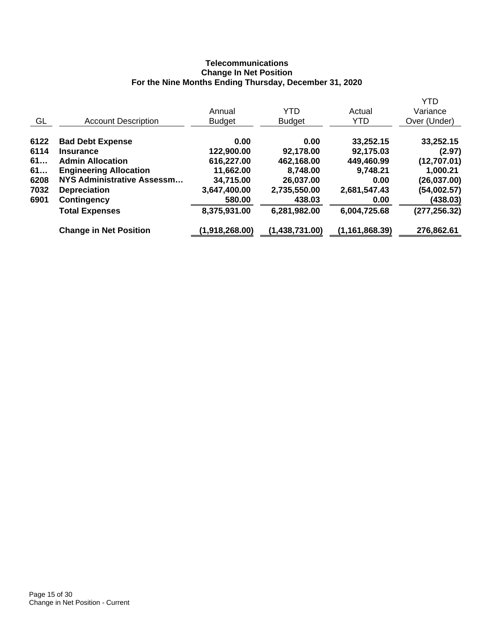# **Telecommunications Change In Net Position For the Nine Months Ending Thursday, December 31, 2020**

|                                   |                |                |                  | <b>YTD</b>    |
|-----------------------------------|----------------|----------------|------------------|---------------|
|                                   | Annual         | YTD            | Actual           | Variance      |
| <b>Account Description</b>        | <b>Budget</b>  | <b>Budget</b>  | <b>YTD</b>       | Over (Under)  |
| <b>Bad Debt Expense</b>           | 0.00           | 0.00           | 33,252.15        | 33,252.15     |
| <b>Insurance</b>                  | 122,900.00     | 92,178.00      | 92,175.03        | (2.97)        |
| <b>Admin Allocation</b>           | 616,227.00     | 462,168.00     | 449,460.99       | (12,707.01)   |
| <b>Engineering Allocation</b>     | 11,662.00      | 8,748.00       | 9,748.21         | 1,000.21      |
| <b>NYS Administrative Assessm</b> | 34,715.00      | 26,037.00      | 0.00             | (26, 037.00)  |
| <b>Depreciation</b>               | 3,647,400.00   | 2,735,550.00   | 2,681,547.43     | (54,002.57)   |
| Contingency                       | 580.00         | 438.03         | 0.00             | (438.03)      |
| <b>Total Expenses</b>             | 8,375,931.00   | 6,281,982.00   | 6,004,725.68     | (277, 256.32) |
| <b>Change in Net Position</b>     | (1,918,268.00) | (1,438,731.00) | (1, 161, 868.39) | 276,862.61    |
|                                   |                |                |                  |               |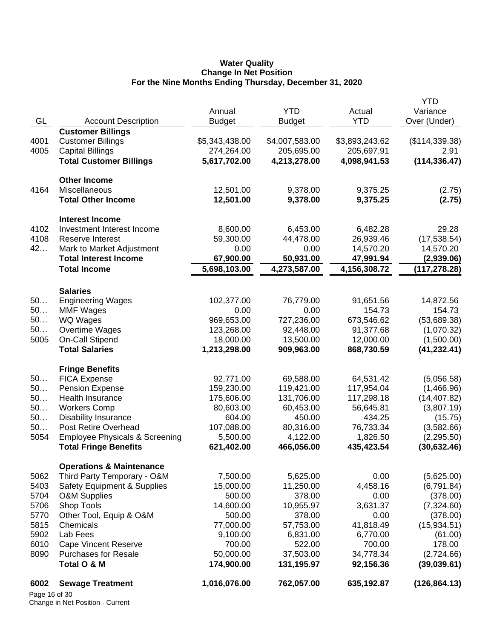#### **Water Quality Change In Net Position For the Nine Months Ending Thursday, December 31, 2020**

|               |                                           |                |                |                | YTD            |
|---------------|-------------------------------------------|----------------|----------------|----------------|----------------|
|               |                                           | Annual         | <b>YTD</b>     | Actual         | Variance       |
| GL            | <b>Account Description</b>                | <b>Budget</b>  | <b>Budget</b>  | <b>YTD</b>     | Over (Under)   |
|               | <b>Customer Billings</b>                  |                |                |                |                |
| 4001          | <b>Customer Billings</b>                  | \$5,343,438.00 | \$4,007,583.00 | \$3,893,243.62 | (\$114,339.38) |
| 4005          | <b>Capital Billings</b>                   | 274,264.00     | 205,695.00     | 205,697.91     | 2.91           |
|               | <b>Total Customer Billings</b>            | 5,617,702.00   | 4,213,278.00   | 4,098,941.53   | (114, 336.47)  |
|               | <b>Other Income</b>                       |                |                |                |                |
| 4164          | <b>Miscellaneous</b>                      | 12,501.00      | 9,378.00       | 9,375.25       | (2.75)         |
|               | <b>Total Other Income</b>                 | 12,501.00      | 9,378.00       | 9,375.25       | (2.75)         |
|               | <b>Interest Income</b>                    |                |                |                |                |
| 4102          | Investment Interest Income                | 8,600.00       | 6,453.00       | 6,482.28       | 29.28          |
| 4108          | Reserve Interest                          | 59,300.00      | 44,478.00      | 26,939.46      | (17, 538.54)   |
| 42            | Mark to Market Adjustment                 | 0.00           | 0.00           | 14,570.20      | 14,570.20      |
|               | <b>Total Interest Income</b>              | 67,900.00      | 50,931.00      | 47,991.94      | (2,939.06)     |
|               | <b>Total Income</b>                       | 5,698,103.00   | 4,273,587.00   | 4,156,308.72   | (117, 278.28)  |
|               | <b>Salaries</b>                           |                |                |                |                |
| 50            | <b>Engineering Wages</b>                  | 102,377.00     | 76,779.00      | 91,651.56      | 14,872.56      |
| 50            | <b>MMF Wages</b>                          | 0.00           | 0.00           | 154.73         | 154.73         |
| 50            | <b>WQ Wages</b>                           | 969,653.00     | 727,236.00     | 673,546.62     | (53,689.38)    |
| 50            | Overtime Wages                            | 123,268.00     | 92,448.00      | 91,377.68      | (1,070.32)     |
| 5005          | On-Call Stipend                           | 18,000.00      | 13,500.00      | 12,000.00      | (1,500.00)     |
|               | <b>Total Salaries</b>                     | 1,213,298.00   | 909,963.00     | 868,730.59     | (41, 232.41)   |
|               | <b>Fringe Benefits</b>                    |                |                |                |                |
| 50            | <b>FICA Expense</b>                       | 92,771.00      | 69,588.00      | 64,531.42      | (5,056.58)     |
| 50            | <b>Pension Expense</b>                    | 159,230.00     | 119,421.00     | 117,954.04     | (1,466.96)     |
| 50            | Health Insurance                          | 175,606.00     | 131,706.00     | 117,298.18     | (14, 407.82)   |
| 50            | <b>Workers Comp</b>                       | 80,603.00      | 60,453.00      | 56,645.81      | (3,807.19)     |
| 50            | <b>Disability Insurance</b>               | 604.00         | 450.00         | 434.25         | (15.75)        |
| 50            | Post Retire Overhead                      | 107,088.00     | 80,316.00      | 76,733.34      | (3,582.66)     |
| 5054          | <b>Employee Physicals &amp; Screening</b> | 5,500.00       | 4,122.00       | 1,826.50       | (2,295.50)     |
|               | <b>Total Fringe Benefits</b>              | 621,402.00     | 466,056.00     | 435,423.54     | (30, 632.46)   |
|               | <b>Operations &amp; Maintenance</b>       |                |                |                |                |
| 5062          | Third Party Temporary - O&M               | 7,500.00       | 5,625.00       | 0.00           | (5,625.00)     |
| 5403          | <b>Safety Equipment &amp; Supplies</b>    | 15,000.00      | 11,250.00      | 4,458.16       | (6,791.84)     |
| 5704          | <b>O&amp;M Supplies</b>                   | 500.00         | 378.00         | 0.00           | (378.00)       |
| 5706          | Shop Tools                                | 14,600.00      | 10,955.97      | 3,631.37       | (7,324.60)     |
| 5770          | Other Tool, Equip & O&M                   | 500.00         | 378.00         | 0.00           | (378.00)       |
| 5815          | Chemicals                                 | 77,000.00      | 57,753.00      | 41,818.49      | (15,934.51)    |
| 5902          | Lab Fees                                  | 9,100.00       | 6,831.00       | 6,770.00       | (61.00)        |
| 6010          | <b>Cape Vincent Reserve</b>               | 700.00         | 522.00         | 700.00         | 178.00         |
| 8090          | <b>Purchases for Resale</b>               | 50,000.00      | 37,503.00      | 34,778.34      | (2,724.66)     |
|               | Total O & M                               | 174,900.00     | 131,195.97     | 92,156.36      | (39,039.61)    |
| 6002          | <b>Sewage Treatment</b>                   | 1,016,076.00   | 762,057.00     | 635,192.87     | (126, 864.13)  |
| Page 16 of 30 |                                           |                |                |                |                |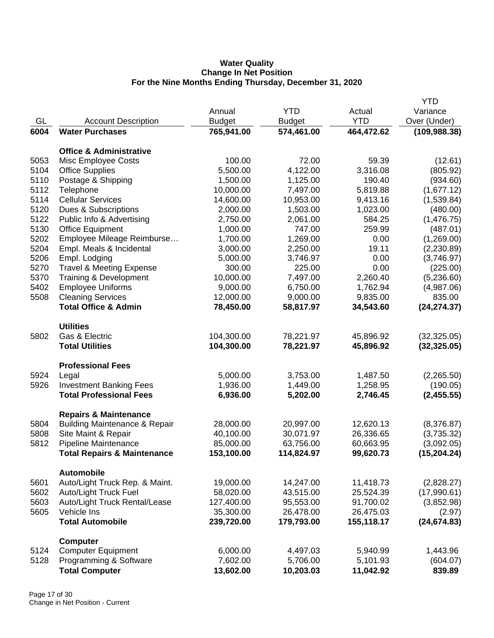## **Water Quality Change In Net Position For the Nine Months Ending Thursday, December 31, 2020**

|      |                                                     |               |               |            | <b>YTD</b>    |
|------|-----------------------------------------------------|---------------|---------------|------------|---------------|
|      |                                                     | Annual        | <b>YTD</b>    | Actual     | Variance      |
| GL   | <b>Account Description</b>                          | <b>Budget</b> | <b>Budget</b> | <b>YTD</b> | Over (Under)  |
| 6004 | <b>Water Purchases</b>                              | 765,941.00    | 574,461.00    | 464,472.62 | (109, 988.38) |
|      |                                                     |               |               |            |               |
|      | <b>Office &amp; Administrative</b>                  |               |               |            |               |
| 5053 | Misc Employee Costs                                 | 100.00        | 72.00         | 59.39      | (12.61)       |
| 5104 | <b>Office Supplies</b>                              | 5,500.00      | 4,122.00      | 3,316.08   | (805.92)      |
| 5110 | Postage & Shipping                                  | 1,500.00      | 1,125.00      | 190.40     | (934.60)      |
| 5112 | Telephone                                           | 10,000.00     | 7,497.00      | 5,819.88   | (1,677.12)    |
| 5114 | <b>Cellular Services</b>                            | 14,600.00     | 10,953.00     | 9,413.16   | (1,539.84)    |
| 5120 | Dues & Subscriptions                                | 2,000.00      | 1,503.00      | 1,023.00   | (480.00)      |
| 5122 | Public Info & Advertising                           | 2,750.00      | 2,061.00      | 584.25     | (1,476.75)    |
| 5130 | <b>Office Equipment</b>                             | 1,000.00      | 747.00        | 259.99     | (487.01)      |
| 5202 | Employee Mileage Reimburse                          | 1,700.00      | 1,269.00      | 0.00       | (1,269.00)    |
| 5204 | Empl. Meals & Incidental                            | 3,000.00      | 2,250.00      | 19.11      | (2,230.89)    |
| 5206 | Empl. Lodging                                       | 5,000.00      | 3,746.97      | 0.00       | (3,746.97)    |
| 5270 | <b>Travel &amp; Meeting Expense</b>                 | 300.00        | 225.00        | 0.00       | (225.00)      |
| 5370 | Training & Development                              | 10,000.00     | 7,497.00      | 2,260.40   | (5,236.60)    |
| 5402 | <b>Employee Uniforms</b>                            | 9,000.00      | 6,750.00      | 1,762.94   | (4,987.06)    |
| 5508 | <b>Cleaning Services</b>                            | 12,000.00     | 9,000.00      | 9,835.00   | 835.00        |
|      | <b>Total Office &amp; Admin</b>                     | 78,450.00     | 58,817.97     | 34,543.60  | (24, 274.37)  |
|      | <b>Utilities</b>                                    |               |               |            |               |
| 5802 | Gas & Electric                                      | 104,300.00    | 78,221.97     | 45,896.92  | (32, 325.05)  |
|      | <b>Total Utilities</b>                              |               |               |            |               |
|      |                                                     | 104,300.00    | 78,221.97     | 45,896.92  | (32, 325.05)  |
|      | <b>Professional Fees</b>                            |               |               |            |               |
| 5924 | Legal                                               | 5,000.00      | 3,753.00      | 1,487.50   | (2,265.50)    |
| 5926 | <b>Investment Banking Fees</b>                      | 1,936.00      | 1,449.00      | 1,258.95   | (190.05)      |
|      | <b>Total Professional Fees</b>                      | 6,936.00      | 5,202.00      | 2,746.45   | (2,455.55)    |
|      | <b>Repairs &amp; Maintenance</b>                    |               |               |            |               |
| 5804 | <b>Building Maintenance &amp; Repair</b>            | 28,000.00     | 20,997.00     | 12,620.13  | (8,376.87)    |
| 5808 | Site Maint & Repair                                 | 40,100.00     | 30,071.97     | 26,336.65  | (3,735.32)    |
| 5812 | Pipeline Maintenance                                | 85,000.00     | 63,756.00     | 60,663.95  | (3,092.05)    |
|      | <b>Total Repairs &amp; Maintenance</b>              | 153,100.00    | 114,824.97    | 99,620.73  | (15, 204.24)  |
|      |                                                     |               |               |            |               |
| 5601 | <b>Automobile</b><br>Auto/Light Truck Rep. & Maint. | 19,000.00     | 14,247.00     | 11,418.73  | (2,828.27)    |
| 5602 | Auto/Light Truck Fuel                               | 58,020.00     | 43,515.00     | 25,524.39  | (17,990.61)   |
| 5603 | Auto/Light Truck Rental/Lease                       | 127,400.00    | 95,553.00     | 91,700.02  | (3,852.98)    |
| 5605 | Vehicle Ins                                         | 35,300.00     | 26,478.00     | 26,475.03  | (2.97)        |
|      | <b>Total Automobile</b>                             | 239,720.00    | 179,793.00    | 155,118.17 | (24, 674.83)  |
|      |                                                     |               |               |            |               |
|      | <b>Computer</b>                                     |               |               |            |               |
| 5124 | <b>Computer Equipment</b>                           | 6,000.00      | 4,497.03      | 5,940.99   | 1,443.96      |
| 5128 | Programming & Software                              | 7,602.00      | 5,706.00      | 5,101.93   | (604.07)      |
|      | <b>Total Computer</b>                               | 13,602.00     | 10,203.03     | 11,042.92  | 839.89        |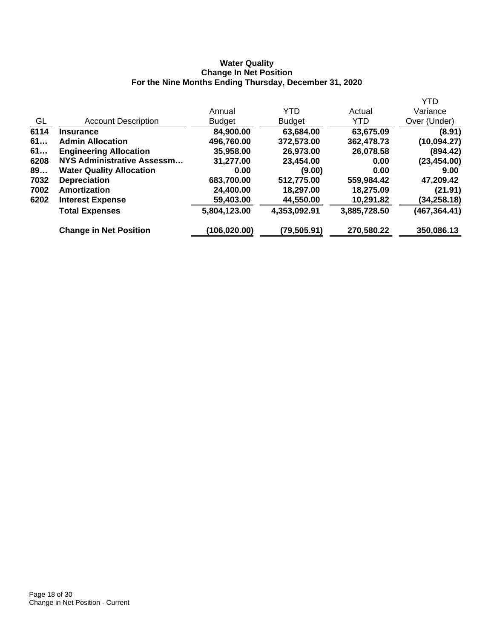## **Water Quality Change In Net Position For the Nine Months Ending Thursday, December 31, 2020**

|                                 |               |               |              | <b>YTD</b>    |
|---------------------------------|---------------|---------------|--------------|---------------|
|                                 | Annual        | YTD           | Actual       | Variance      |
| <b>Account Description</b>      | <b>Budget</b> | <b>Budget</b> | YTD.         | Over (Under)  |
| <b>Insurance</b>                | 84,900.00     | 63,684.00     | 63,675.09    | (8.91)        |
| <b>Admin Allocation</b>         | 496,760.00    | 372,573.00    | 362,478.73   | (10,094.27)   |
| <b>Engineering Allocation</b>   | 35,958.00     | 26,973.00     | 26,078.58    | (894.42)      |
| NYS Administrative Assessm      | 31,277.00     | 23,454.00     | 0.00         | (23, 454.00)  |
| <b>Water Quality Allocation</b> | 0.00          | (9.00)        | 0.00         | 9.00          |
| <b>Depreciation</b>             | 683,700.00    | 512,775.00    | 559,984.42   | 47,209.42     |
| Amortization                    | 24,400.00     | 18,297.00     | 18,275.09    | (21.91)       |
| <b>Interest Expense</b>         | 59,403.00     | 44,550.00     | 10,291.82    | (34,258.18)   |
| <b>Total Expenses</b>           | 5,804,123.00  | 4,353,092.91  | 3,885,728.50 | (467, 364.41) |
| <b>Change in Net Position</b>   | (106,020.00)  | (79,505.91)   | 270,580.22   | 350,086.13    |
|                                 |               |               |              |               |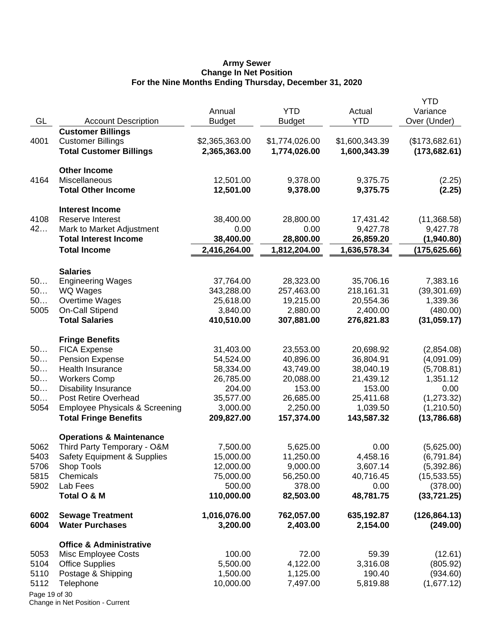#### **Army Sewer Change In Net Position For the Nine Months Ending Thursday, December 31, 2020**

| GL            | <b>Account Description</b>                | Annual<br><b>Budget</b> | <b>YTD</b><br><b>Budget</b> | Actual<br><b>YTD</b> | <b>YTD</b><br>Variance<br>Over (Under) |
|---------------|-------------------------------------------|-------------------------|-----------------------------|----------------------|----------------------------------------|
|               | <b>Customer Billings</b>                  |                         |                             |                      |                                        |
| 4001          | <b>Customer Billings</b>                  | \$2,365,363.00          | \$1,774,026.00              | \$1,600,343.39       | (\$173,682.61)                         |
|               | <b>Total Customer Billings</b>            | 2,365,363.00            | 1,774,026.00                | 1,600,343.39         | (173, 682.61)                          |
|               | <b>Other Income</b>                       |                         |                             |                      |                                        |
| 4164          | Miscellaneous                             | 12,501.00               | 9,378.00                    | 9,375.75             | (2.25)                                 |
|               | <b>Total Other Income</b>                 | 12,501.00               | 9,378.00                    | 9,375.75             | (2.25)                                 |
|               | <b>Interest Income</b>                    |                         |                             |                      |                                        |
| 4108          | Reserve Interest                          | 38,400.00               | 28,800.00                   | 17,431.42            | (11,368.58)                            |
| 42            | Mark to Market Adjustment                 | 0.00                    | 0.00                        | 9,427.78             | 9,427.78                               |
|               | <b>Total Interest Income</b>              | 38,400.00               | 28,800.00                   | 26,859.20            | (1,940.80)                             |
|               | <b>Total Income</b>                       | 2,416,264.00            | 1,812,204.00                | 1,636,578.34         | (175, 625.66)                          |
|               | <b>Salaries</b>                           |                         |                             |                      |                                        |
| 50            | <b>Engineering Wages</b>                  | 37,764.00               | 28,323.00                   | 35,706.16            | 7,383.16                               |
| 50            | WQ Wages                                  | 343,288.00              | 257,463.00                  | 218,161.31           | (39, 301.69)                           |
| 50            | Overtime Wages                            | 25,618.00               | 19,215.00                   | 20,554.36            | 1,339.36                               |
| 5005          | On-Call Stipend                           | 3,840.00                | 2,880.00                    | 2,400.00             | (480.00)                               |
|               | <b>Total Salaries</b>                     | 410,510.00              | 307,881.00                  | 276,821.83           | (31,059.17)                            |
|               | <b>Fringe Benefits</b>                    |                         |                             |                      |                                        |
| 50            | <b>FICA Expense</b>                       | 31,403.00               | 23,553.00                   | 20,698.92            | (2,854.08)                             |
| 50            | Pension Expense                           | 54,524.00               | 40,896.00                   | 36,804.91            | (4,091.09)                             |
| 50            | Health Insurance                          | 58,334.00               | 43,749.00                   | 38,040.19            | (5,708.81)                             |
| 50            | <b>Workers Comp</b>                       | 26,785.00               | 20,088.00                   | 21,439.12            | 1,351.12                               |
| 50            | <b>Disability Insurance</b>               | 204.00                  | 153.00                      | 153.00               | 0.00                                   |
| 50            | Post Retire Overhead                      | 35,577.00               | 26,685.00                   | 25,411.68            | (1,273.32)                             |
| 5054          | <b>Employee Physicals &amp; Screening</b> | 3,000.00                | 2,250.00                    | 1,039.50             | (1,210.50)                             |
|               | <b>Total Fringe Benefits</b>              | 209,827.00              | 157,374.00                  | 143,587.32           | (13,786.68)                            |
|               | <b>Operations &amp; Maintenance</b>       |                         |                             |                      |                                        |
| 5062          | Third Party Temporary - O&M               | 7,500.00                | 5,625.00                    | 0.00                 | (5,625.00)                             |
| 5403          | <b>Safety Equipment &amp; Supplies</b>    | 15,000.00               | 11,250.00                   | 4,458.16             | (6,791.84)                             |
| 5706          | Shop Tools                                | 12,000.00               | 9,000.00                    | 3,607.14             | (5,392.86)                             |
| 5815          | Chemicals                                 | 75,000.00               | 56,250.00                   | 40,716.45            | (15,533.55)                            |
| 5902          | Lab Fees                                  | 500.00                  | 378.00                      | 0.00                 | (378.00)                               |
|               | Total O & M                               | 110,000.00              | 82,503.00                   | 48,781.75            | (33, 721.25)                           |
| 6002          | <b>Sewage Treatment</b>                   | 1,016,076.00            | 762,057.00                  | 635,192.87           | (126, 864.13)                          |
| 6004          | <b>Water Purchases</b>                    | 3,200.00                | 2,403.00                    | 2,154.00             | (249.00)                               |
|               | <b>Office &amp; Administrative</b>        |                         |                             |                      |                                        |
| 5053          | Misc Employee Costs                       | 100.00                  | 72.00                       | 59.39                | (12.61)                                |
| 5104          | <b>Office Supplies</b>                    | 5,500.00                | 4,122.00                    | 3,316.08             | (805.92)                               |
| 5110          | Postage & Shipping                        | 1,500.00                | 1,125.00                    | 190.40               | (934.60)                               |
| 5112          | Telephone                                 | 10,000.00               | 7,497.00                    | 5,819.88             | (1,677.12)                             |
| Page 19 of 30 |                                           |                         |                             |                      |                                        |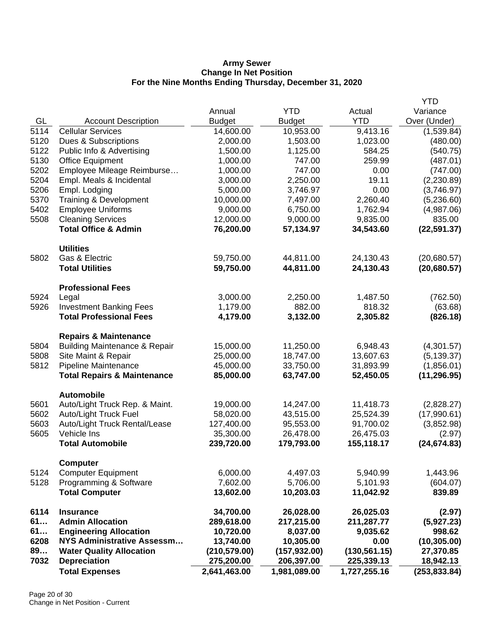## **Army Sewer Change In Net Position For the Nine Months Ending Thursday, December 31, 2020**

|              | <b>Total Expenses</b>                                  | 2,641,463.00                | 1,981,089.00                | 1,727,255.16                | (253, 833.84)            |
|--------------|--------------------------------------------------------|-----------------------------|-----------------------------|-----------------------------|--------------------------|
| 89<br>7032   | <b>Water Quality Allocation</b><br><b>Depreciation</b> | (210, 579.00)<br>275,200.00 | (157, 932.00)<br>206,397.00 | (130, 561.15)<br>225,339.13 | 27,370.85<br>18,942.13   |
| 6208         | <b>NYS Administrative Assessm</b>                      | 13,740.00                   | 10,305.00                   | 0.00                        | (10, 305.00)             |
| 61           | <b>Engineering Allocation</b>                          | 10,720.00                   | 8,037.00                    | 9,035.62                    | 998.62                   |
| 61           | <b>Admin Allocation</b>                                | 289,618.00                  | 217,215.00                  | 211,287.77                  | (5,927.23)               |
| 6114         | <b>Insurance</b>                                       | 34,700.00                   | 26,028.00                   | 26,025.03                   | (2.97)                   |
|              | <b>Total Computer</b>                                  | 13,602.00                   | 10,203.03                   | 11,042.92                   | 839.89                   |
| 5128         | Programming & Software                                 | 7,602.00                    | 5,706.00                    | 5,101.93                    | (604.07)                 |
| 5124         | <b>Computer</b><br><b>Computer Equipment</b>           | 6,000.00                    | 4,497.03                    | 5,940.99                    | 1,443.96                 |
|              |                                                        |                             |                             |                             |                          |
|              | <b>Total Automobile</b>                                | 239,720.00                  | 179,793.00                  | 155,118.17                  | (24, 674.83)             |
| 5605         | Vehicle Ins                                            | 35,300.00                   | 26,478.00                   | 26,475.03                   | (2.97)                   |
| 5603         | Auto/Light Truck Rental/Lease                          | 127,400.00                  | 95,553.00                   | 91,700.02                   | (3,852.98)               |
| 5602         | Auto/Light Truck Fuel                                  | 58,020.00                   | 43,515.00                   | 25,524.39                   | (17,990.61)              |
| 5601         | <b>Automobile</b><br>Auto/Light Truck Rep. & Maint.    | 19,000.00                   | 14,247.00                   | 11,418.73                   | (2,828.27)               |
|              |                                                        |                             |                             |                             |                          |
|              | <b>Total Repairs &amp; Maintenance</b>                 | 85,000.00                   | 63,747.00                   | 52,450.05                   | (11, 296.95)             |
| 5812         | Pipeline Maintenance                                   | 45,000.00                   | 33,750.00                   | 31,893.99                   | (1,856.01)               |
| 5808         | Site Maint & Repair                                    | 25,000.00                   | 18,747.00                   | 13,607.63                   | (5, 139.37)              |
| 5804         | <b>Building Maintenance &amp; Repair</b>               | 15,000.00                   | 11,250.00                   | 6,948.43                    | (4,301.57)               |
|              | <b>Repairs &amp; Maintenance</b>                       |                             |                             |                             |                          |
|              | <b>Total Professional Fees</b>                         | 4,179.00                    | 3,132.00                    | 2,305.82                    | (826.18)                 |
| 5926         | <b>Investment Banking Fees</b>                         | 1,179.00                    | 882.00                      | 818.32                      | (63.68)                  |
| 5924         | Legal                                                  | 3,000.00                    | 2,250.00                    | 1,487.50                    | (762.50)                 |
|              | <b>Professional Fees</b>                               |                             |                             |                             |                          |
|              |                                                        |                             |                             |                             |                          |
|              | <b>Total Utilities</b>                                 | 59,750.00                   | 44,811.00                   | 24,130.43                   | (20, 680.57)             |
| 5802         | <b>Utilities</b><br>Gas & Electric                     | 59,750.00                   | 44,811.00                   | 24,130.43                   | (20,680.57)              |
|              |                                                        |                             |                             |                             |                          |
|              | <b>Total Office &amp; Admin</b>                        | 76,200.00                   | 57,134.97                   | 34,543.60                   | (22, 591.37)             |
| 5508         | <b>Cleaning Services</b>                               | 12,000.00                   | 9,000.00                    | 9,835.00                    | 835.00                   |
| 5370<br>5402 | Training & Development<br><b>Employee Uniforms</b>     | 10,000.00<br>9,000.00       | 7,497.00<br>6,750.00        | 2,260.40<br>1,762.94        | (5,236.60)<br>(4,987.06) |
| 5206         | Empl. Lodging                                          | 5,000.00                    | 3,746.97                    | 0.00                        | (3,746.97)               |
| 5204         | Empl. Meals & Incidental                               | 3,000.00                    | 2,250.00                    | 19.11                       | (2,230.89)               |
| 5202         | Employee Mileage Reimburse                             | 1,000.00                    | 747.00                      | 0.00                        | (747.00)                 |
| 5130         | <b>Office Equipment</b>                                | 1,000.00                    | 747.00                      | 259.99                      | (487.01)                 |
| 5122         | Public Info & Advertising                              | 1,500.00                    | 1,125.00                    | 584.25                      | (540.75)                 |
| 5120         | Dues & Subscriptions                                   | 2,000.00                    | 1,503.00                    | 1,023.00                    | (480.00)                 |
| 5114         | <b>Cellular Services</b>                               | 14,600.00                   | 10,953.00                   | 9,413.16                    | (1,539.84)               |
| GL           | <b>Account Description</b>                             | <b>Budget</b>               | <b>Budget</b>               | <b>YTD</b>                  | Over (Under)             |
|              |                                                        | Annual                      | <b>YTD</b>                  | Actual                      | Variance                 |
|              |                                                        |                             |                             |                             | <b>YTD</b>               |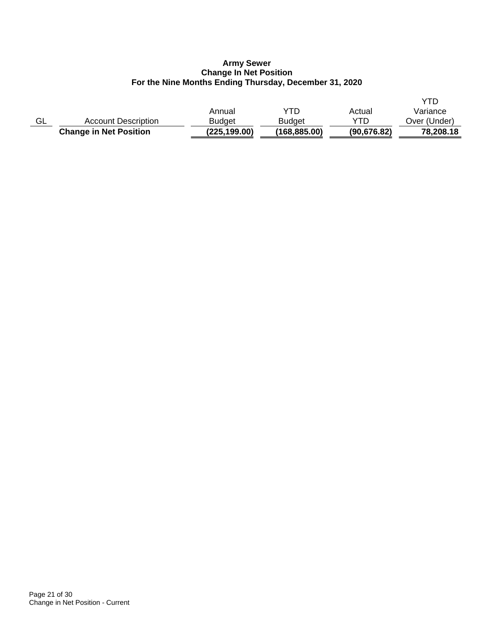## **Army Sewer Change In Net Position For the Nine Months Ending Thursday, December 31, 2020**

|    | <b>Change in Net Position</b> | (225, 199.00) | (168,885.00)  | (90, 676.82) | 78,208.18    |
|----|-------------------------------|---------------|---------------|--------------|--------------|
| GL | <b>Account Description</b>    | Budget        | <b>Budget</b> | YTD          | Over (Under) |
|    |                               | Annual        | YTD           | Actual       | Variance     |
|    |                               |               |               |              |              |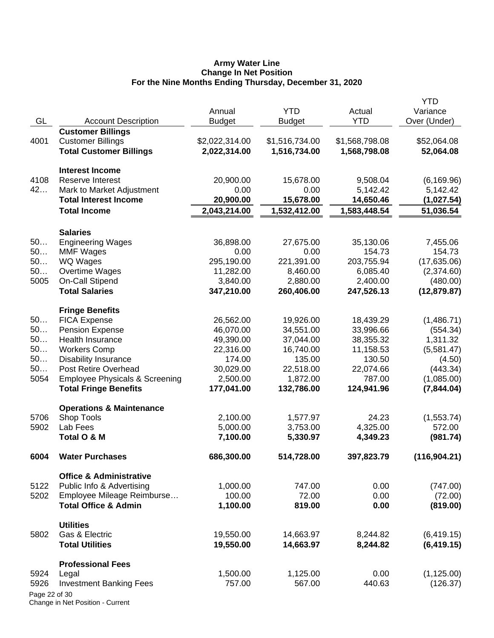### **Army Water Line Change In Net Position For the Nine Months Ending Thursday, December 31, 2020**

|               |                                           | Annual         | <b>YTD</b>     | Actual         | <b>YTD</b><br>Variance |
|---------------|-------------------------------------------|----------------|----------------|----------------|------------------------|
| GL            | <b>Account Description</b>                | <b>Budget</b>  | <b>Budget</b>  | <b>YTD</b>     | Over (Under)           |
|               | <b>Customer Billings</b>                  |                |                |                |                        |
| 4001          | <b>Customer Billings</b>                  | \$2,022,314.00 | \$1,516,734.00 | \$1,568,798.08 | \$52,064.08            |
|               | <b>Total Customer Billings</b>            | 2,022,314.00   | 1,516,734.00   | 1,568,798.08   | 52,064.08              |
|               | <b>Interest Income</b>                    |                |                |                |                        |
| 4108          | Reserve Interest                          | 20,900.00      | 15,678.00      | 9,508.04       | (6, 169.96)            |
| 42            | Mark to Market Adjustment                 | 0.00           | 0.00           | 5,142.42       | 5,142.42               |
|               | <b>Total Interest Income</b>              | 20,900.00      | 15,678.00      | 14,650.46      | (1,027.54)             |
|               | <b>Total Income</b>                       | 2,043,214.00   | 1,532,412.00   | 1,583,448.54   | 51,036.54              |
|               | <b>Salaries</b>                           |                |                |                |                        |
| 50            | <b>Engineering Wages</b>                  | 36,898.00      | 27,675.00      | 35,130.06      | 7,455.06               |
| 50            | <b>MMF Wages</b>                          | 0.00           | 0.00           | 154.73         | 154.73                 |
| 50            | WQ Wages                                  | 295,190.00     | 221,391.00     | 203,755.94     | (17,635.06)            |
| 50            | Overtime Wages                            | 11,282.00      | 8,460.00       | 6,085.40       | (2,374.60)             |
| 5005          | On-Call Stipend                           | 3,840.00       | 2,880.00       | 2,400.00       | (480.00)               |
|               | <b>Total Salaries</b>                     | 347,210.00     | 260,406.00     | 247,526.13     | (12, 879.87)           |
|               | <b>Fringe Benefits</b>                    |                |                |                |                        |
| 50            | <b>FICA Expense</b>                       | 26,562.00      | 19,926.00      | 18,439.29      | (1,486.71)             |
| 50            | <b>Pension Expense</b>                    | 46,070.00      | 34,551.00      | 33,996.66      | (554.34)               |
| 50            | Health Insurance                          | 49,390.00      | 37,044.00      | 38,355.32      | 1,311.32               |
| 50            | <b>Workers Comp</b>                       | 22,316.00      | 16,740.00      | 11,158.53      | (5,581.47)             |
| 50            | <b>Disability Insurance</b>               | 174.00         | 135.00         | 130.50         | (4.50)                 |
| 50            | Post Retire Overhead                      | 30,029.00      | 22,518.00      | 22,074.66      | (443.34)               |
| 5054          | <b>Employee Physicals &amp; Screening</b> | 2,500.00       | 1,872.00       | 787.00         | (1,085.00)             |
|               | <b>Total Fringe Benefits</b>              | 177,041.00     | 132,786.00     | 124,941.96     | (7, 844.04)            |
|               | <b>Operations &amp; Maintenance</b>       |                |                |                |                        |
| 5706          | Shop Tools                                | 2,100.00       | 1,577.97       | 24.23          | (1,553.74)             |
| 5902          | Lab Fees                                  | 5,000.00       | 3,753.00       | 4,325.00       | 572.00                 |
|               | Total O & M                               | 7,100.00       | 5,330.97       | 4,349.23       | (981.74)               |
| 6004          | <b>Water Purchases</b>                    | 686,300.00     | 514,728.00     | 397,823.79     | (116, 904.21)          |
|               | <b>Office &amp; Administrative</b>        |                |                |                |                        |
| 5122          | Public Info & Advertising                 | 1,000.00       | 747.00         | 0.00           | (747.00)               |
| 5202          | Employee Mileage Reimburse                | 100.00         | 72.00          | 0.00           | (72.00)                |
|               | <b>Total Office &amp; Admin</b>           | 1,100.00       | 819.00         | 0.00           | (819.00)               |
|               | <b>Utilities</b>                          |                |                |                |                        |
| 5802          | Gas & Electric                            | 19,550.00      | 14,663.97      | 8,244.82       | (6, 419.15)            |
|               | <b>Total Utilities</b>                    | 19,550.00      | 14,663.97      | 8,244.82       | (6, 419.15)            |
|               | <b>Professional Fees</b>                  |                |                |                |                        |
| 5924          | Legal                                     | 1,500.00       | 1,125.00       | 0.00           | (1, 125.00)            |
| 5926          | <b>Investment Banking Fees</b>            | 757.00         | 567.00         | 440.63         | (126.37)               |
| Page 22 of 30 |                                           |                |                |                |                        |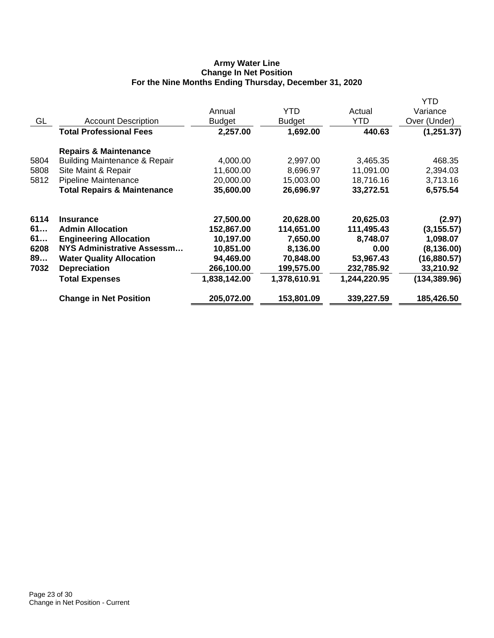## **Army Water Line Change In Net Position For the Nine Months Ending Thursday, December 31, 2020**

|      |                                          |               |               |              | YTD           |
|------|------------------------------------------|---------------|---------------|--------------|---------------|
|      |                                          | Annual        | YTD.          | Actual       | Variance      |
| GL   | <b>Account Description</b>               | <b>Budget</b> | <b>Budget</b> | YTD          | Over (Under)  |
|      | <b>Total Professional Fees</b>           | 2,257.00      | 1,692.00      | 440.63       | (1,251.37)    |
|      | <b>Repairs &amp; Maintenance</b>         |               |               |              |               |
| 5804 | <b>Building Maintenance &amp; Repair</b> | 4,000.00      | 2,997.00      | 3,465.35     | 468.35        |
| 5808 | Site Maint & Repair                      | 11,600.00     | 8,696.97      | 11,091.00    | 2,394.03      |
| 5812 | Pipeline Maintenance                     | 20,000.00     | 15,003.00     | 18,716.16    | 3,713.16      |
|      | <b>Total Repairs &amp; Maintenance</b>   | 35,600.00     | 26,696.97     | 33,272.51    | 6,575.54      |
| 6114 | <b>Insurance</b>                         | 27,500.00     | 20,628.00     | 20,625.03    | (2.97)        |
| 61   | <b>Admin Allocation</b>                  | 152,867.00    | 114,651.00    | 111,495.43   | (3, 155.57)   |
| 61   | <b>Engineering Allocation</b>            | 10,197.00     | 7,650.00      | 8,748.07     | 1,098.07      |
| 6208 | NYS Administrative Assessm               | 10,851.00     | 8,136.00      | 0.00         | (8, 136.00)   |
| 89   | <b>Water Quality Allocation</b>          | 94,469.00     | 70,848.00     | 53,967.43    | (16, 880.57)  |
| 7032 | <b>Depreciation</b>                      | 266,100.00    | 199,575.00    | 232,785.92   | 33,210.92     |
|      | <b>Total Expenses</b>                    | 1,838,142.00  | 1,378,610.91  | 1,244,220.95 | (134, 389.96) |
|      | <b>Change in Net Position</b>            | 205,072.00    | 153,801.09    | 339,227.59   | 185,426.50    |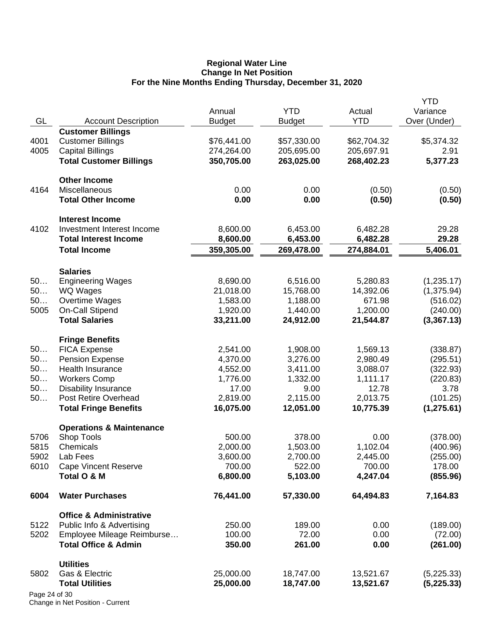### **Regional Water Line Change In Net Position For the Nine Months Ending Thursday, December 31, 2020**

|               |                                     |               |               |             | <b>YTD</b>   |
|---------------|-------------------------------------|---------------|---------------|-------------|--------------|
|               |                                     | Annual        | <b>YTD</b>    | Actual      | Variance     |
| GL            | <b>Account Description</b>          | <b>Budget</b> | <b>Budget</b> | <b>YTD</b>  | Over (Under) |
|               | <b>Customer Billings</b>            |               |               |             |              |
| 4001          | <b>Customer Billings</b>            | \$76,441.00   | \$57,330.00   | \$62,704.32 | \$5,374.32   |
| 4005          | <b>Capital Billings</b>             | 274,264.00    | 205,695.00    | 205,697.91  | 2.91         |
|               | <b>Total Customer Billings</b>      | 350,705.00    | 263,025.00    | 268,402.23  | 5,377.23     |
|               | <b>Other Income</b>                 |               |               |             |              |
| 4164          | Miscellaneous                       | 0.00          | 0.00          | (0.50)      | (0.50)       |
|               | <b>Total Other Income</b>           | 0.00          | 0.00          | (0.50)      | (0.50)       |
|               | <b>Interest Income</b>              |               |               |             |              |
| 4102          | Investment Interest Income          | 8,600.00      | 6,453.00      | 6,482.28    | 29.28        |
|               | <b>Total Interest Income</b>        | 8,600.00      | 6,453.00      | 6,482.28    | 29.28        |
|               | <b>Total Income</b>                 | 359,305.00    | 269,478.00    | 274,884.01  | 5,406.01     |
|               | <b>Salaries</b>                     |               |               |             |              |
| 50            | <b>Engineering Wages</b>            | 8,690.00      | 6,516.00      | 5,280.83    | (1,235.17)   |
| 50            | WQ Wages                            | 21,018.00     | 15,768.00     | 14,392.06   | (1,375.94)   |
| 50            | Overtime Wages                      | 1,583.00      | 1,188.00      | 671.98      | (516.02)     |
| 5005          | On-Call Stipend                     | 1,920.00      | 1,440.00      | 1,200.00    | (240.00)     |
|               | <b>Total Salaries</b>               | 33,211.00     | 24,912.00     | 21,544.87   | (3,367.13)   |
|               | <b>Fringe Benefits</b>              |               |               |             |              |
| 50            | <b>FICA Expense</b>                 | 2,541.00      | 1,908.00      | 1,569.13    | (338.87)     |
| 50            | <b>Pension Expense</b>              | 4,370.00      | 3,276.00      | 2,980.49    | (295.51)     |
| 50            | Health Insurance                    | 4,552.00      | 3,411.00      | 3,088.07    | (322.93)     |
| 50            | <b>Workers Comp</b>                 | 1,776.00      | 1,332.00      | 1,111.17    | (220.83)     |
| 50            | <b>Disability Insurance</b>         | 17.00         | 9.00          | 12.78       | 3.78         |
| 50            | Post Retire Overhead                | 2,819.00      | 2,115.00      | 2,013.75    | (101.25)     |
|               | <b>Total Fringe Benefits</b>        | 16,075.00     | 12,051.00     | 10,775.39   | (1, 275.61)  |
|               | <b>Operations &amp; Maintenance</b> |               |               |             |              |
| 5706          | Shop Tools                          | 500.00        | 378.00        | 0.00        | (378.00)     |
| 5815          | Chemicals                           | 2,000.00      | 1,503.00      | 1,102.04    | (400.96)     |
| 5902          | Lab Fees                            | 3,600.00      | 2,700.00      | 2,445.00    | (255.00)     |
| 6010          | <b>Cape Vincent Reserve</b>         | 700.00        | 522.00        | 700.00      | 178.00       |
|               | Total O & M                         | 6,800.00      | 5,103.00      | 4,247.04    | (855.96)     |
| 6004          | <b>Water Purchases</b>              | 76,441.00     | 57,330.00     | 64,494.83   | 7,164.83     |
|               | <b>Office &amp; Administrative</b>  |               |               |             |              |
| 5122          | Public Info & Advertising           | 250.00        | 189.00        | 0.00        | (189.00)     |
| 5202          | Employee Mileage Reimburse          | 100.00        | 72.00         | 0.00        | (72.00)      |
|               | <b>Total Office &amp; Admin</b>     | 350.00        | 261.00        | 0.00        | (261.00)     |
|               | <b>Utilities</b>                    |               |               |             |              |
| 5802          | Gas & Electric                      | 25,000.00     | 18,747.00     | 13,521.67   | (5,225.33)   |
|               | <b>Total Utilities</b>              | 25,000.00     | 18,747.00     | 13,521.67   | (5, 225.33)  |
| Page 24 of 30 |                                     |               |               |             |              |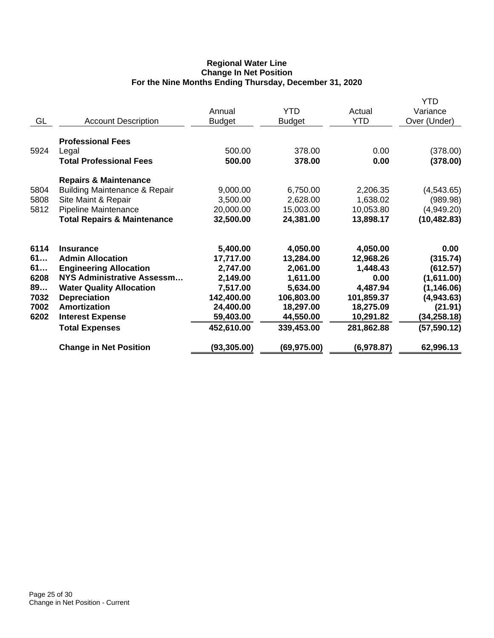## **Regional Water Line Change In Net Position For the Nine Months Ending Thursday, December 31, 2020**

| <b>Account Description</b>                                                                                                                                                                                                                      | Annual<br><b>Budget</b>                                                                                         | <b>YTD</b><br><b>Budget</b>                                                                                     | Actual<br><b>YTD</b>                                                                                        | <b>YTD</b><br>Variance<br>Over (Under)                                                                             |
|-------------------------------------------------------------------------------------------------------------------------------------------------------------------------------------------------------------------------------------------------|-----------------------------------------------------------------------------------------------------------------|-----------------------------------------------------------------------------------------------------------------|-------------------------------------------------------------------------------------------------------------|--------------------------------------------------------------------------------------------------------------------|
| <b>Professional Fees</b><br>Legal<br><b>Total Professional Fees</b>                                                                                                                                                                             | 500.00<br>500.00                                                                                                | 378.00<br>378.00                                                                                                | 0.00<br>0.00                                                                                                | (378.00)<br>(378.00)                                                                                               |
| <b>Repairs &amp; Maintenance</b><br><b>Building Maintenance &amp; Repair</b><br>Site Maint & Repair<br>Pipeline Maintenance<br><b>Total Repairs &amp; Maintenance</b>                                                                           | 9,000.00<br>3,500.00<br>20,000.00<br>32,500.00                                                                  | 6,750.00<br>2,628.00<br>15,003.00<br>24,381.00                                                                  | 2,206.35<br>1,638.02<br>10,053.80<br>13,898.17                                                              | (4,543.65)<br>(989.98)<br>(4,949.20)<br>(10, 482.83)                                                               |
| <b>Insurance</b><br><b>Admin Allocation</b><br><b>Engineering Allocation</b><br><b>NYS Administrative Assessm</b><br><b>Water Quality Allocation</b><br><b>Depreciation</b><br>Amortization<br><b>Interest Expense</b><br><b>Total Expenses</b> | 5,400.00<br>17,717.00<br>2,747.00<br>2,149.00<br>7,517.00<br>142,400.00<br>24,400.00<br>59,403.00<br>452,610.00 | 4,050.00<br>13,284.00<br>2,061.00<br>1,611.00<br>5,634.00<br>106,803.00<br>18,297.00<br>44,550.00<br>339,453.00 | 4,050.00<br>12,968.26<br>1,448.43<br>0.00<br>4,487.94<br>101,859.37<br>18,275.09<br>10,291.82<br>281,862.88 | 0.00<br>(315.74)<br>(612.57)<br>(1,611.00)<br>(1, 146.06)<br>(4,943.63)<br>(21.91)<br>(34, 258.18)<br>(57, 590.12) |
| <b>Change in Net Position</b>                                                                                                                                                                                                                   | (93, 305.00)                                                                                                    | (69,975.00)                                                                                                     | (6,978.87)                                                                                                  | 62,996.13                                                                                                          |
|                                                                                                                                                                                                                                                 |                                                                                                                 |                                                                                                                 |                                                                                                             |                                                                                                                    |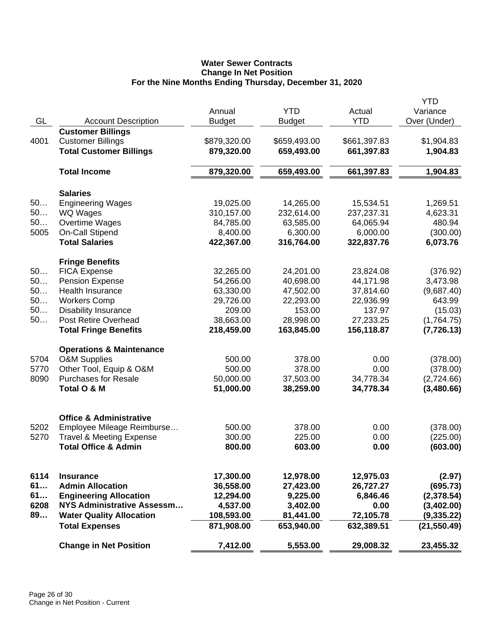# **Water Sewer Contracts Change In Net Position For the Nine Months Ending Thursday, December 31, 2020**

|      |                                     | Annual        | <b>YTD</b>    | Actual       | YTD<br>Variance |
|------|-------------------------------------|---------------|---------------|--------------|-----------------|
| GL   | <b>Account Description</b>          | <b>Budget</b> | <b>Budget</b> | <b>YTD</b>   | Over (Under)    |
|      | <b>Customer Billings</b>            |               |               |              |                 |
| 4001 | <b>Customer Billings</b>            | \$879,320.00  | \$659,493.00  | \$661,397.83 | \$1,904.83      |
|      | <b>Total Customer Billings</b>      | 879,320.00    | 659,493.00    | 661,397.83   | 1,904.83        |
|      |                                     |               |               |              |                 |
|      | <b>Total Income</b>                 | 879,320.00    | 659,493.00    | 661,397.83   | 1,904.83        |
|      | <b>Salaries</b>                     |               |               |              |                 |
| 50   | <b>Engineering Wages</b>            | 19,025.00     | 14,265.00     | 15,534.51    | 1,269.51        |
| 50   | WQ Wages                            | 310,157.00    | 232,614.00    | 237,237.31   | 4,623.31        |
| 50   | Overtime Wages                      | 84,785.00     | 63,585.00     | 64,065.94    | 480.94          |
| 5005 | On-Call Stipend                     | 8,400.00      | 6,300.00      | 6,000.00     | (300.00)        |
|      | <b>Total Salaries</b>               | 422,367.00    | 316,764.00    | 322,837.76   | 6,073.76        |
|      | <b>Fringe Benefits</b>              |               |               |              |                 |
| 50   | <b>FICA Expense</b>                 | 32,265.00     | 24,201.00     | 23,824.08    | (376.92)        |
| 50   | <b>Pension Expense</b>              | 54,266.00     | 40,698.00     | 44,171.98    | 3,473.98        |
| 50   | Health Insurance                    | 63,330.00     | 47,502.00     | 37,814.60    | (9,687.40)      |
| 50   | <b>Workers Comp</b>                 | 29,726.00     | 22,293.00     | 22,936.99    | 643.99          |
| 50   | <b>Disability Insurance</b>         | 209.00        | 153.00        | 137.97       | (15.03)         |
| 50   | Post Retire Overhead                | 38,663.00     | 28,998.00     | 27,233.25    | (1,764.75)      |
|      | <b>Total Fringe Benefits</b>        | 218,459.00    | 163,845.00    | 156,118.87   | (7, 726.13)     |
|      | <b>Operations &amp; Maintenance</b> |               |               |              |                 |
| 5704 | <b>O&amp;M Supplies</b>             | 500.00        | 378.00        | 0.00         | (378.00)        |
| 5770 | Other Tool, Equip & O&M             | 500.00        | 378.00        | 0.00         | (378.00)        |
| 8090 | <b>Purchases for Resale</b>         | 50,000.00     | 37,503.00     | 34,778.34    | (2,724.66)      |
|      | Total O & M                         | 51,000.00     | 38,259.00     | 34,778.34    | (3,480.66)      |
|      | <b>Office &amp; Administrative</b>  |               |               |              |                 |
| 5202 | Employee Mileage Reimburse          | 500.00        | 378.00        | 0.00         | (378.00)        |
| 5270 | <b>Travel &amp; Meeting Expense</b> | 300.00        | 225.00        | 0.00         | (225.00)        |
|      | <b>Total Office &amp; Admin</b>     | 800.00        | 603.00        | 0.00         | (603.00)        |
|      |                                     |               |               |              |                 |
| 6114 | <b>Insurance</b>                    | 17,300.00     | 12,978.00     | 12,975.03    | (2.97)          |
| 61   | <b>Admin Allocation</b>             | 36,558.00     | 27,423.00     | 26,727.27    | (695.73)        |
| 61   | <b>Engineering Allocation</b>       | 12,294.00     | 9,225.00      | 6,846.46     | (2,378.54)      |
| 6208 | <b>NYS Administrative Assessm</b>   | 4,537.00      | 3,402.00      | 0.00         | (3,402.00)      |
| 89   | <b>Water Quality Allocation</b>     | 108,593.00    | 81,441.00     | 72,105.78    | (9, 335.22)     |
|      | <b>Total Expenses</b>               | 871,908.00    | 653,940.00    | 632,389.51   | (21, 550.49)    |
|      | <b>Change in Net Position</b>       | 7,412.00      | 5,553.00      | 29,008.32    | 23,455.32       |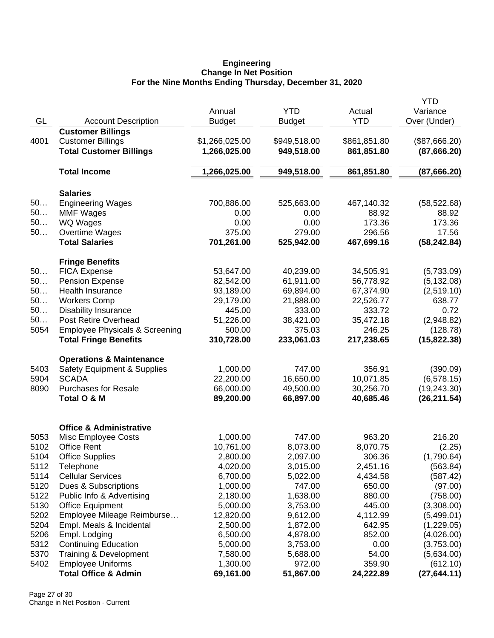#### **Engineering Change In Net Position For the Nine Months Ending Thursday, December 31, 2020**

|              |                                           |                |               |              | <b>YTD</b>    |
|--------------|-------------------------------------------|----------------|---------------|--------------|---------------|
|              |                                           | Annual         | <b>YTD</b>    | Actual       | Variance      |
| GL           | <b>Account Description</b>                | <b>Budget</b>  | <b>Budget</b> | <b>YTD</b>   | Over (Under)  |
|              | <b>Customer Billings</b>                  |                |               |              |               |
| 4001         | <b>Customer Billings</b>                  | \$1,266,025.00 | \$949,518.00  | \$861,851.80 | (\$87,666.20) |
|              | <b>Total Customer Billings</b>            | 1,266,025.00   | 949,518.00    | 861,851.80   | (87,666.20)   |
|              |                                           |                |               |              |               |
|              | <b>Total Income</b>                       | 1,266,025.00   | 949,518.00    | 861,851.80   | (87,666.20)   |
|              | <b>Salaries</b>                           |                |               |              |               |
| 50           | <b>Engineering Wages</b>                  | 700,886.00     | 525,663.00    | 467,140.32   | (58, 522.68)  |
| 50           | <b>MMF Wages</b>                          | 0.00           | 0.00          | 88.92        | 88.92         |
| 50           | <b>WQ Wages</b>                           | 0.00           | 0.00          | 173.36       | 173.36        |
| 50           | Overtime Wages                            | 375.00         | 279.00        | 296.56       | 17.56         |
|              | <b>Total Salaries</b>                     | 701,261.00     | 525,942.00    | 467,699.16   | (58, 242.84)  |
|              | <b>Fringe Benefits</b>                    |                |               |              |               |
| 50           | <b>FICA Expense</b>                       | 53,647.00      | 40,239.00     | 34,505.91    | (5,733.09)    |
| 50           | <b>Pension Expense</b>                    | 82,542.00      | 61,911.00     | 56,778.92    | (5, 132.08)   |
| 50           | Health Insurance                          | 93,189.00      | 69,894.00     | 67,374.90    | (2,519.10)    |
| 50           | <b>Workers Comp</b>                       | 29,179.00      | 21,888.00     | 22,526.77    | 638.77        |
| 50           | <b>Disability Insurance</b>               | 445.00         | 333.00        | 333.72       | 0.72          |
| 50           | Post Retire Overhead                      | 51,226.00      | 38,421.00     | 35,472.18    | (2,948.82)    |
| 5054         | <b>Employee Physicals &amp; Screening</b> | 500.00         | 375.03        | 246.25       | (128.78)      |
|              | <b>Total Fringe Benefits</b>              | 310,728.00     | 233,061.03    | 217,238.65   | (15, 822.38)  |
|              | <b>Operations &amp; Maintenance</b>       |                |               |              |               |
| 5403         | <b>Safety Equipment &amp; Supplies</b>    | 1,000.00       | 747.00        | 356.91       | (390.09)      |
| 5904         | <b>SCADA</b>                              | 22,200.00      | 16,650.00     | 10,071.85    | (6,578.15)    |
| 8090         | <b>Purchases for Resale</b>               | 66,000.00      | 49,500.00     | 30,256.70    | (19, 243.30)  |
|              | Total O & M                               | 89,200.00      | 66,897.00     | 40,685.46    | (26, 211.54)  |
|              |                                           |                |               |              |               |
|              | <b>Office &amp; Administrative</b>        |                |               |              |               |
| 5053<br>5102 | Misc Employee Costs<br><b>Office Rent</b> | 1,000.00       | 747.00        | 963.20       | 216.20        |
| 5104         |                                           | 10,761.00      | 8,073.00      | 8,070.75     | (2.25)        |
|              | <b>Office Supplies</b>                    | 2,800.00       | 2,097.00      | 306.36       | (1,790.64)    |
| 5112         | Telephone                                 | 4,020.00       | 3,015.00      | 2,451.16     | (563.84)      |
| 5114         | <b>Cellular Services</b>                  | 6,700.00       | 5,022.00      | 4,434.58     | (587.42)      |
| 5120         | Dues & Subscriptions                      | 1,000.00       | 747.00        | 650.00       | (97.00)       |
| 5122         | Public Info & Advertising                 | 2,180.00       | 1,638.00      | 880.00       | (758.00)      |
| 5130         | <b>Office Equipment</b>                   | 5,000.00       | 3,753.00      | 445.00       | (3,308.00)    |
| 5202         | Employee Mileage Reimburse                | 12,820.00      | 9,612.00      | 4,112.99     | (5,499.01)    |
| 5204         | Empl. Meals & Incidental                  | 2,500.00       | 1,872.00      | 642.95       | (1,229.05)    |
| 5206         | Empl. Lodging                             | 6,500.00       | 4,878.00      | 852.00       | (4,026.00)    |
| 5312         | <b>Continuing Education</b>               | 5,000.00       | 3,753.00      | 0.00         | (3,753.00)    |
| 5370         | <b>Training &amp; Development</b>         | 7,580.00       | 5,688.00      | 54.00        | (5,634.00)    |
| 5402         | <b>Employee Uniforms</b>                  | 1,300.00       | 972.00        | 359.90       | (612.10)      |
|              | <b>Total Office &amp; Admin</b>           | 69,161.00      | 51,867.00     | 24,222.89    | (27, 644.11)  |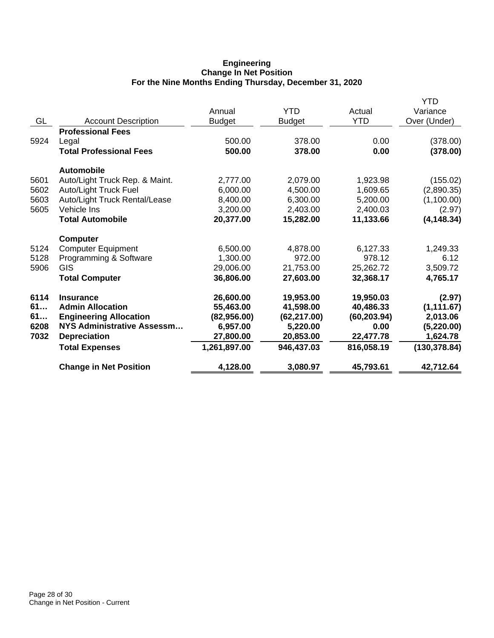## **Engineering Change In Net Position For the Nine Months Ending Thursday, December 31, 2020**

|      |                                   | Annual        | <b>YTD</b>    | Actual       | <b>YTD</b><br>Variance |
|------|-----------------------------------|---------------|---------------|--------------|------------------------|
| GL   | <b>Account Description</b>        | <b>Budget</b> | <b>Budget</b> | <b>YTD</b>   | Over (Under)           |
|      | <b>Professional Fees</b>          |               |               |              |                        |
| 5924 | Legal                             | 500.00        | 378.00        | 0.00         | (378.00)               |
|      | <b>Total Professional Fees</b>    | 500.00        | 378.00        | 0.00         | (378.00)               |
|      | <b>Automobile</b>                 |               |               |              |                        |
| 5601 | Auto/Light Truck Rep. & Maint.    | 2,777.00      | 2,079.00      | 1,923.98     | (155.02)               |
| 5602 | Auto/Light Truck Fuel             | 6,000.00      | 4,500.00      | 1,609.65     | (2,890.35)             |
| 5603 | Auto/Light Truck Rental/Lease     | 8,400.00      | 6,300.00      | 5,200.00     | (1,100.00)             |
| 5605 | Vehicle Ins                       | 3,200.00      | 2,403.00      | 2,400.03     | (2.97)                 |
|      | <b>Total Automobile</b>           | 20,377.00     | 15,282.00     | 11,133.66    | (4, 148.34)            |
|      | <b>Computer</b>                   |               |               |              |                        |
| 5124 | <b>Computer Equipment</b>         | 6,500.00      | 4,878.00      | 6,127.33     | 1,249.33               |
| 5128 | Programming & Software            | 1,300.00      | 972.00        | 978.12       | 6.12                   |
| 5906 | GIS                               | 29,006.00     | 21,753.00     | 25,262.72    | 3,509.72               |
|      | <b>Total Computer</b>             | 36,806.00     | 27,603.00     | 32,368.17    | 4,765.17               |
| 6114 | <b>Insurance</b>                  | 26,600.00     | 19,953.00     | 19,950.03    | (2.97)                 |
| 61   | <b>Admin Allocation</b>           | 55,463.00     | 41,598.00     | 40,486.33    | (1, 111.67)            |
| 61   | <b>Engineering Allocation</b>     | (82,956.00)   | (62, 217.00)  | (60, 203.94) | 2,013.06               |
| 6208 | <b>NYS Administrative Assessm</b> | 6,957.00      | 5,220.00      | 0.00         | (5,220.00)             |
| 7032 | <b>Depreciation</b>               | 27,800.00     | 20,853.00     | 22,477.78    | 1,624.78               |
|      | <b>Total Expenses</b>             | 1,261,897.00  | 946,437.03    | 816,058.19   | (130, 378.84)          |
|      | <b>Change in Net Position</b>     | 4,128.00      | 3,080.97      | 45,793.61    | 42,712.64              |
|      |                                   |               |               |              |                        |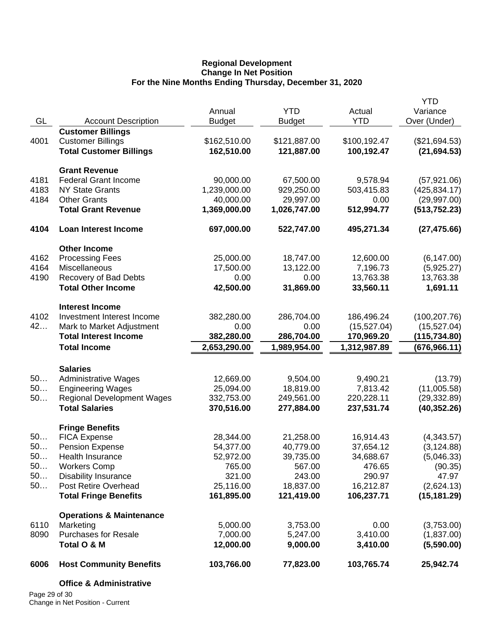## **Regional Development Change In Net Position For the Nine Months Ending Thursday, December 31, 2020**

|      |                                     |               |               |              | <b>YTD</b>    |
|------|-------------------------------------|---------------|---------------|--------------|---------------|
|      |                                     | Annual        | <b>YTD</b>    | Actual       | Variance      |
| GL   | <b>Account Description</b>          | <b>Budget</b> | <b>Budget</b> | <b>YTD</b>   | Over (Under)  |
|      | <b>Customer Billings</b>            |               |               |              |               |
| 4001 | <b>Customer Billings</b>            | \$162,510.00  | \$121,887.00  | \$100,192.47 | (\$21,694.53) |
|      | <b>Total Customer Billings</b>      | 162,510.00    | 121,887.00    | 100,192.47   | (21, 694.53)  |
|      |                                     |               |               |              |               |
|      | <b>Grant Revenue</b>                |               |               |              |               |
| 4181 | <b>Federal Grant Income</b>         | 90,000.00     | 67,500.00     | 9,578.94     | (57, 921.06)  |
| 4183 | <b>NY State Grants</b>              | 1,239,000.00  | 929,250.00    | 503,415.83   | (425, 834.17) |
| 4184 | <b>Other Grants</b>                 | 40,000.00     | 29,997.00     | 0.00         | (29,997.00)   |
|      | <b>Total Grant Revenue</b>          | 1,369,000.00  | 1,026,747.00  | 512,994.77   | (513, 752.23) |
|      |                                     |               |               |              |               |
| 4104 | Loan Interest Income                | 697,000.00    | 522,747.00    | 495,271.34   | (27, 475.66)  |
|      | <b>Other Income</b>                 |               |               |              |               |
| 4162 | <b>Processing Fees</b>              | 25,000.00     | 18,747.00     | 12,600.00    | (6, 147.00)   |
| 4164 | Miscellaneous                       | 17,500.00     | 13,122.00     | 7,196.73     | (5,925.27)    |
| 4190 | Recovery of Bad Debts               | 0.00          | 0.00          | 13,763.38    | 13,763.38     |
|      | <b>Total Other Income</b>           | 42,500.00     | 31,869.00     | 33,560.11    | 1,691.11      |
|      |                                     |               |               |              |               |
|      | <b>Interest Income</b>              |               |               |              |               |
| 4102 | Investment Interest Income          | 382,280.00    | 286,704.00    | 186,496.24   | (100, 207.76) |
| 42   | Mark to Market Adjustment           | 0.00          | 0.00          | (15, 527.04) | (15, 527.04)  |
|      | <b>Total Interest Income</b>        | 382,280.00    | 286,704.00    | 170,969.20   | (115, 734.80) |
|      | <b>Total Income</b>                 | 2,653,290.00  | 1,989,954.00  | 1,312,987.89 | (676, 966.11) |
|      |                                     |               |               |              |               |
|      | <b>Salaries</b>                     |               |               |              |               |
| 50   | <b>Administrative Wages</b>         | 12,669.00     | 9,504.00      | 9,490.21     | (13.79)       |
| 50   | <b>Engineering Wages</b>            | 25,094.00     | 18,819.00     | 7,813.42     | (11,005.58)   |
| 50   | <b>Regional Development Wages</b>   | 332,753.00    | 249,561.00    | 220,228.11   | (29, 332.89)  |
|      | <b>Total Salaries</b>               | 370,516.00    | 277,884.00    | 237,531.74   | (40, 352.26)  |
|      | <b>Fringe Benefits</b>              |               |               |              |               |
| 50   | <b>FICA Expense</b>                 | 28,344.00     | 21,258.00     | 16,914.43    | (4,343.57)    |
| 50   | <b>Pension Expense</b>              | 54,377.00     | 40,779.00     | 37,654.12    | (3, 124.88)   |
| 50.  | Health Insurance                    | 52,972.00     | 39,735.00     | 34,688.67    |               |
| 50   |                                     | 765.00        | 567.00        | 476.65       | (5,046.33)    |
| 50   | <b>Workers Comp</b>                 |               |               |              | (90.35)       |
|      | <b>Disability Insurance</b>         | 321.00        | 243.00        | 290.97       | 47.97         |
| 50   | Post Retire Overhead                | 25,116.00     | 18,837.00     | 16,212.87    | (2,624.13)    |
|      | <b>Total Fringe Benefits</b>        | 161,895.00    | 121,419.00    | 106,237.71   | (15, 181.29)  |
|      | <b>Operations &amp; Maintenance</b> |               |               |              |               |
| 6110 | Marketing                           | 5,000.00      | 3,753.00      | 0.00         | (3,753.00)    |
| 8090 | <b>Purchases for Resale</b>         | 7,000.00      | 5,247.00      | 3,410.00     | (1,837.00)    |
|      | Total O & M                         | 12,000.00     | 9,000.00      | 3,410.00     | (5,590.00)    |
|      |                                     |               |               |              |               |
|      |                                     |               |               |              |               |
| 6006 | <b>Host Community Benefits</b>      | 103,766.00    | 77,823.00     | 103,765.74   | 25,942.74     |

Page 29 of 30 Change in Net Position - Current